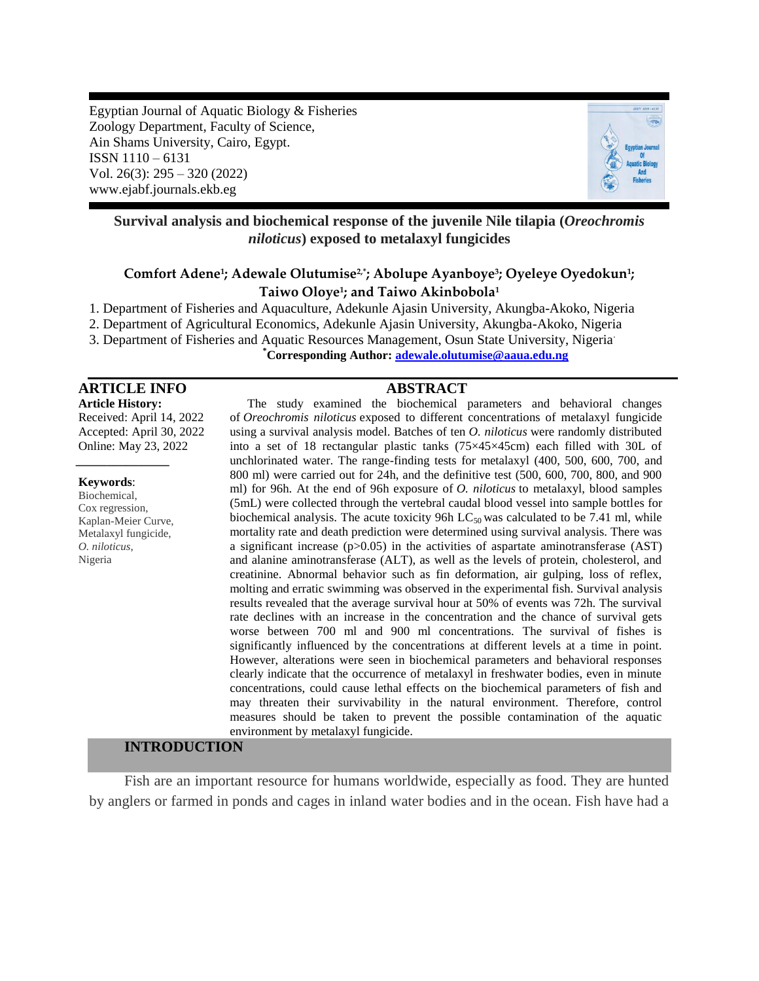Egyptian Journal of Aquatic Biology & Fisheries Zoology Department, Faculty of Science, Ain Shams University, Cairo, Egypt. ISSN 1110 – 6131 Vol. 26(3): 295 – 320 (2022) www.ejabf.journals.ekb.eg



## **Survival analysis and biochemical response of the juvenile Nile tilapia (***Oreochromis niloticus***) exposed to metalaxyl fungicides**

# **Comfort Adene<sup>1</sup> ; Adewale Olutumise2,\*; Abolupe Ayanboye<sup>3</sup> ; Oyeleye Oyedokun<sup>1</sup> ; Taiwo Oloye<sup>1</sup> ; and Taiwo Akinbobola<sup>1</sup>**

1. Department of Fisheries and Aquaculture, Adekunle Ajasin University, Akungba-Akoko, Nigeria

2. Department of Agricultural Economics, Adekunle Ajasin University, Akungba-Akoko, Nigeria

3. Department of Fisheries and Aquatic Resources Management, Osun State University, Nigeria.

 **\*Corresponding Author: [adewale.olutumise@aaua.edu.ng](mailto:adewale.olutumise@aaua.edu.ng)**

# **ARTICLE INFO ABSTRACT**

**Article History:** Received: April 14, 2022 Accepted: April 30, 2022 Online: May 23, 2022

#### **Keywords**:

Biochemical, Cox regression, Kaplan-Meier Curve, Metalaxyl fungicide, *O. niloticus*, Nigeria

*\_\_\_\_\_\_\_\_\_\_\_\_\_\_\_*

The study examined the biochemical parameters and behavioral changes of *Oreochromis niloticus* exposed to different concentrations of metalaxyl fungicide using a survival analysis model. Batches of ten *O. niloticus* were randomly distributed into a set of 18 rectangular plastic tanks (75×45×45cm) each filled with 30L of unchlorinated water. The range-finding tests for metalaxyl (400, 500, 600, 700, and 800 ml) were carried out for 24h, and the definitive test (500, 600, 700, 800, and 900 ml) for 96h. At the end of 96h exposure of *O. niloticus* to metalaxyl, blood samples (5mL) were collected through the vertebral caudal blood vessel into sample bottles for biochemical analysis. The acute toxicity 96h  $LC_{50}$  was calculated to be 7.41 ml, while mortality rate and death prediction were determined using survival analysis. There was a significant increase  $(p>0.05)$  in the activities of aspartate aminotransferase (AST) and alanine aminotransferase (ALT), as well as the levels of protein, cholesterol, and creatinine. Abnormal behavior such as fin deformation, air gulping, loss of reflex, molting and erratic swimming was observed in the experimental fish. Survival analysis results revealed that the average survival hour at 50% of events was 72h. The survival rate declines with an increase in the concentration and the chance of survival gets worse between 700 ml and 900 ml concentrations. The survival of fishes is significantly influenced by the concentrations at different levels at a time in point. However, alterations were seen in biochemical parameters and behavioral responses clearly indicate that the occurrence of metalaxyl in freshwater bodies, even in minute concentrations, could cause lethal effects on the biochemical parameters of fish and may threaten their survivability in the natural environment. Therefore, control measures should be taken to prevent the possible contamination of the aquatic environment by metalaxyl fungicide.

# **INTRODUCTION**

Fish are an important resource for humans worldwide, especially as food. They are hunted by anglers or farmed in ponds and cages in inland water bodies and in the ocean. Fish have had a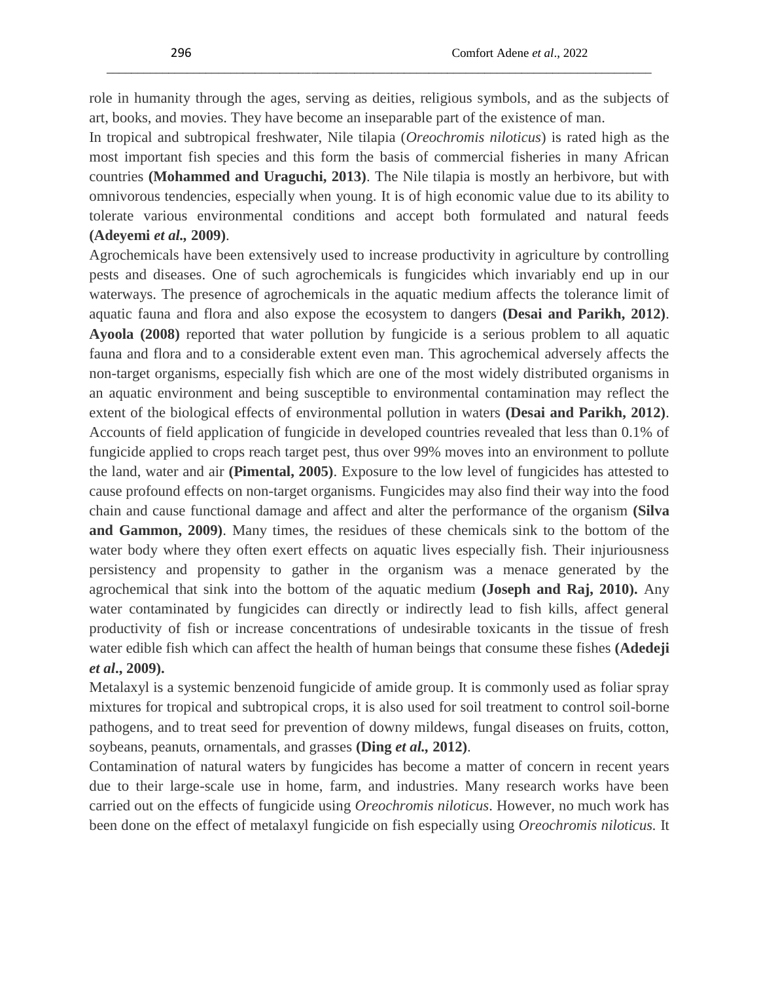role in humanity through the ages, serving as deities, religious symbols, and as the subjects of art, books, and movies. They have become an inseparable part of the existence of man.

\_\_\_\_\_\_\_\_\_\_\_\_\_\_\_\_\_\_\_\_\_\_\_\_\_\_\_\_\_\_\_\_\_\_\_\_\_\_\_\_\_\_\_\_\_\_\_\_\_\_\_\_\_\_\_\_\_\_\_\_\_\_\_\_\_\_\_\_\_\_\_\_\_\_\_\_\_\_\_\_\_\_\_\_\_\_\_\_

In tropical and subtropical freshwater, Nile tilapia (*Oreochromis niloticus*) is rated high as the most important fish species and this form the basis of commercial fisheries in many African countries **(Mohammed and Uraguchi, 2013)**. The Nile tilapia is mostly an herbivore, but with omnivorous tendencies, especially when young. It is of high economic value due to its ability to tolerate various environmental conditions and accept both formulated and natural feeds **(Adeyemi** *et al.,* **2009)**.

Agrochemicals have been extensively used to increase productivity in agriculture by controlling pests and diseases. One of such agrochemicals is fungicides which invariably end up in our waterways. The presence of agrochemicals in the aquatic medium affects the tolerance limit of aquatic fauna and flora and also expose the ecosystem to dangers **(Desai and Parikh, 2012)**. **Ayoola (2008)** reported that water pollution by fungicide is a serious problem to all aquatic fauna and flora and to a considerable extent even man. This agrochemical adversely affects the non-target organisms, especially fish which are one of the most widely distributed organisms in an aquatic environment and being susceptible to environmental contamination may reflect the extent of the biological effects of environmental pollution in waters **(Desai and Parikh, 2012)**. Accounts of field application of fungicide in developed countries revealed that less than 0.1% of fungicide applied to crops reach target pest, thus over 99% moves into an environment to pollute the land, water and air **(Pimental, 2005)**. Exposure to the low level of fungicides has attested to cause profound effects on non-target organisms. Fungicides may also find their way into the food chain and cause functional damage and affect and alter the performance of the organism **(Silva and Gammon, 2009)**. Many times, the residues of these chemicals sink to the bottom of the water body where they often exert effects on aquatic lives especially fish. Their injuriousness persistency and propensity to gather in the organism was a menace generated by the agrochemical that sink into the bottom of the aquatic medium **(Joseph and Raj, 2010).** Any water contaminated by fungicides can directly or indirectly lead to fish kills, affect general productivity of fish or increase concentrations of undesirable toxicants in the tissue of fresh water edible fish which can affect the health of human beings that consume these fishes **(Adedeji**  *et al***., 2009).**

Metalaxyl is a systemic benzenoid fungicide of amide group. It is commonly used as foliar spray mixtures for tropical and subtropical crops, it is also used for soil treatment to control soil-borne pathogens, and to treat seed for prevention of downy mildews, fungal diseases on fruits, cotton, soybeans, peanuts, ornamentals, and grasses **(Ding** *et al.,* **2012)**.

Contamination of natural waters by fungicides has become a matter of concern in recent years due to their large-scale use in home, farm, and industries. Many research works have been carried out on the effects of fungicide using *Oreochromis niloticus*. However, no much work has been done on the effect of metalaxyl fungicide on fish especially using *Oreochromis niloticus.* It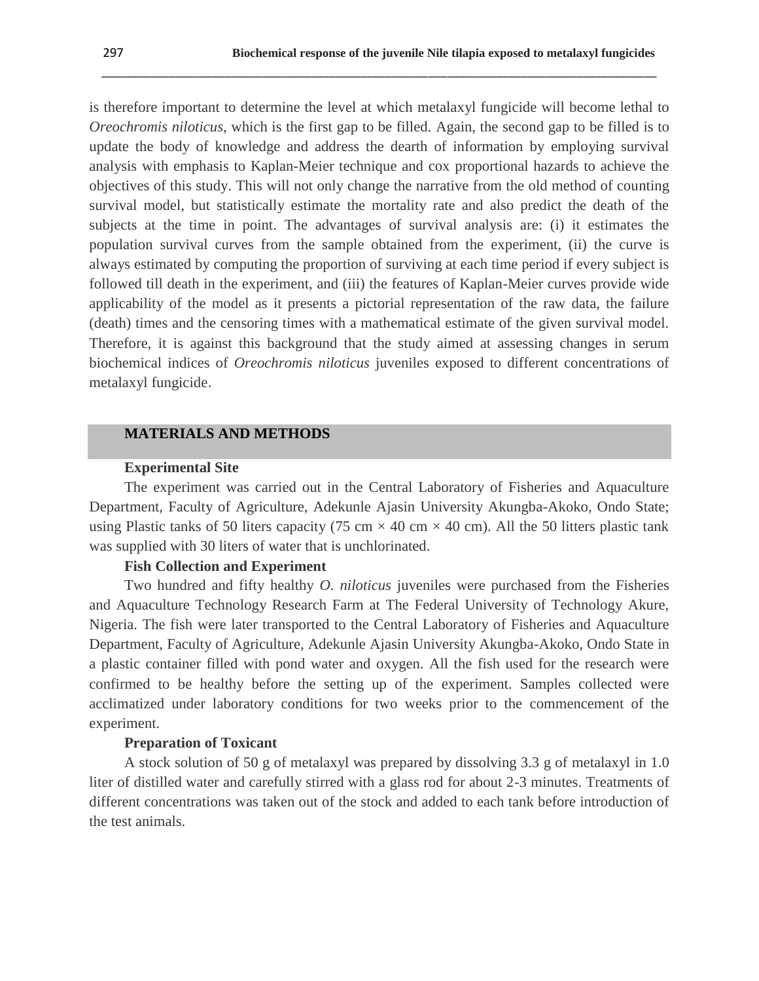is therefore important to determine the level at which metalaxyl fungicide will become lethal to *Oreochromis niloticus*, which is the first gap to be filled. Again, the second gap to be filled is to update the body of knowledge and address the dearth of information by employing survival analysis with emphasis to Kaplan-Meier technique and cox proportional hazards to achieve the objectives of this study. This will not only change the narrative from the old method of counting survival model, but statistically estimate the mortality rate and also predict the death of the subjects at the time in point. The advantages of survival analysis are: (i) it estimates the population survival curves from the sample obtained from the experiment, (ii) the curve is always estimated by computing the proportion of surviving at each time period if every subject is followed till death in the experiment, and (iii) the features of Kaplan-Meier curves provide wide applicability of the model as it presents a pictorial representation of the raw data, the failure (death) times and the censoring times with a mathematical estimate of the given survival model. Therefore, it is against this background that the study aimed at assessing changes in serum biochemical indices of *Oreochromis niloticus* juveniles exposed to different concentrations of metalaxyl fungicide.

\_\_\_\_\_\_\_\_\_\_\_\_\_\_\_\_\_\_\_\_\_\_\_\_\_\_\_\_\_\_\_\_\_\_\_\_\_\_\_\_\_\_\_\_\_\_\_\_\_\_\_\_\_\_\_\_\_\_\_\_\_\_\_\_\_\_\_\_\_\_\_\_\_\_\_\_\_\_\_\_\_\_\_\_\_\_\_\_\_\_

## **MATERIALS AND METHODS**

#### **Experimental Site**

The experiment was carried out in the Central Laboratory of Fisheries and Aquaculture Department, Faculty of Agriculture, Adekunle Ajasin University Akungba-Akoko, Ondo State; using Plastic tanks of 50 liters capacity (75 cm  $\times$  40 cm  $\times$  40 cm). All the 50 litters plastic tank was supplied with 30 liters of water that is unchlorinated.

## **Fish Collection and Experiment**

Two hundred and fifty healthy *O. niloticus* juveniles were purchased from the Fisheries and Aquaculture Technology Research Farm at The Federal University of Technology Akure, Nigeria. The fish were later transported to the Central Laboratory of Fisheries and Aquaculture Department, Faculty of Agriculture, Adekunle Ajasin University Akungba-Akoko, Ondo State in a plastic container filled with pond water and oxygen. All the fish used for the research were confirmed to be healthy before the setting up of the experiment. Samples collected were acclimatized under laboratory conditions for two weeks prior to the commencement of the experiment.

#### **Preparation of Toxicant**

A stock solution of 50 g of metalaxyl was prepared by dissolving 3.3 g of metalaxyl in 1.0 liter of distilled water and carefully stirred with a glass rod for about 2-3 minutes. Treatments of different concentrations was taken out of the stock and added to each tank before introduction of the test animals.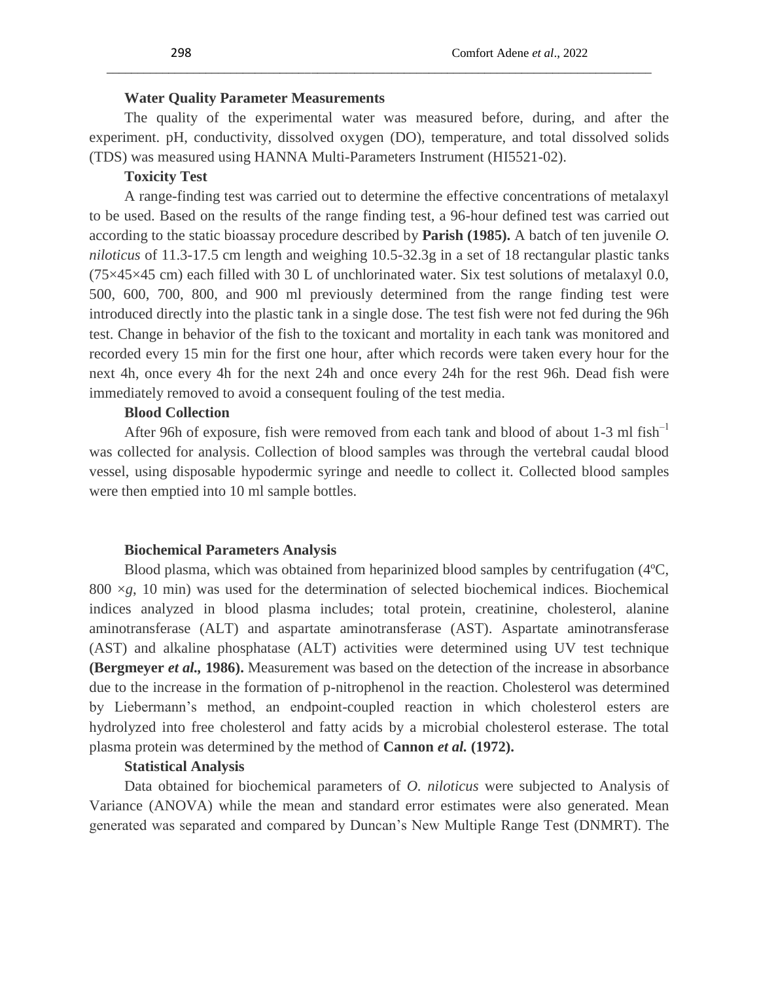## **Water Quality Parameter Measurements**

The quality of the experimental water was measured before, during, and after the experiment. pH, conductivity, dissolved oxygen (DO), temperature, and total dissolved solids (TDS) was measured using HANNA Multi-Parameters Instrument (HI5521-02).

\_\_\_\_\_\_\_\_\_\_\_\_\_\_\_\_\_\_\_\_\_\_\_\_\_\_\_\_\_\_\_\_\_\_\_\_\_\_\_\_\_\_\_\_\_\_\_\_\_\_\_\_\_\_\_\_\_\_\_\_\_\_\_\_\_\_\_\_\_\_\_\_\_\_\_\_\_\_\_\_\_\_\_\_\_\_\_\_

#### **Toxicity Test**

A range-finding test was carried out to determine the effective concentrations of metalaxyl to be used. Based on the results of the range finding test, a 96-hour defined test was carried out according to the static bioassay procedure described by **Parish (1985).** A batch of ten juvenile *O. niloticus* of 11.3-17.5 cm length and weighing 10.5-32.3g in a set of 18 rectangular plastic tanks  $(75\times45\times45$  cm) each filled with 30 L of unchlorinated water. Six test solutions of metalaxyl 0.0, 500, 600, 700, 800, and 900 ml previously determined from the range finding test were introduced directly into the plastic tank in a single dose. The test fish were not fed during the 96h test. Change in behavior of the fish to the toxicant and mortality in each tank was monitored and recorded every 15 min for the first one hour, after which records were taken every hour for the next 4h, once every 4h for the next 24h and once every 24h for the rest 96h. Dead fish were immediately removed to avoid a consequent fouling of the test media.

## **Blood Collection**

After 96h of exposure, fish were removed from each tank and blood of about 1-3 ml fish $^{-1}$ was collected for analysis. Collection of blood samples was through the vertebral caudal blood vessel, using disposable hypodermic syringe and needle to collect it. Collected blood samples were then emptied into 10 ml sample bottles.

## **Biochemical Parameters Analysis**

Blood plasma, which was obtained from heparinized blood samples by centrifugation (4ºC,  $800 \times g$ , 10 min) was used for the determination of selected biochemical indices. Biochemical indices analyzed in blood plasma includes; total protein, creatinine, cholesterol, alanine aminotransferase (ALT) and aspartate aminotransferase (AST). Aspartate aminotransferase (AST) and alkaline phosphatase (ALT) activities were determined using UV test technique **(Bergmeyer** *et al.,* **1986).** Measurement was based on the detection of the increase in absorbance due to the increase in the formation of p-nitrophenol in the reaction. Cholesterol was determined by Liebermann's method, an endpoint-coupled reaction in which cholesterol esters are hydrolyzed into free cholesterol and fatty acids by a microbial cholesterol esterase. The total plasma protein was determined by the method of **Cannon** *et al.* **(1972).**

## **Statistical Analysis**

Data obtained for biochemical parameters of *O. niloticus* were subjected to Analysis of Variance (ANOVA) while the mean and standard error estimates were also generated. Mean generated was separated and compared by Duncan's New Multiple Range Test (DNMRT). The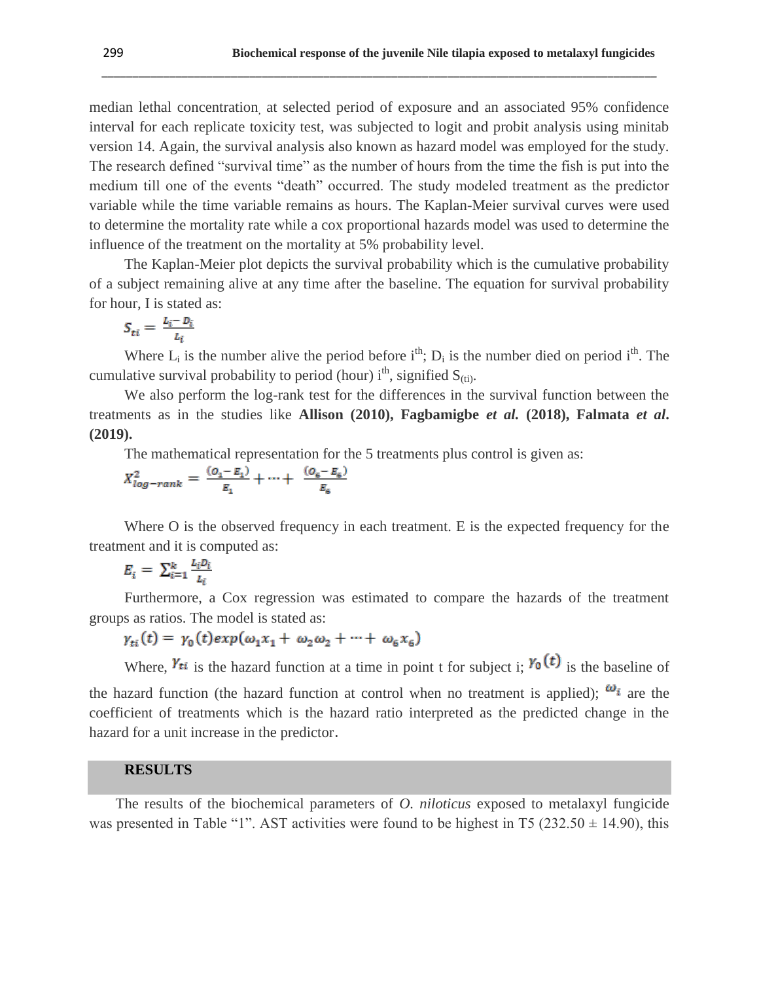median lethal concentration, at selected period of exposure and an associated 95% confidence interval for each replicate toxicity test, was subjected to logit and probit analysis using minitab version 14. Again, the survival analysis also known as hazard model was employed for the study. The research defined "survival time" as the number of hours from the time the fish is put into the medium till one of the events "death" occurred. The study modeled treatment as the predictor variable while the time variable remains as hours. The Kaplan-Meier survival curves were used to determine the mortality rate while a cox proportional hazards model was used to determine the influence of the treatment on the mortality at 5% probability level.

\_\_\_\_\_\_\_\_\_\_\_\_\_\_\_\_\_\_\_\_\_\_\_\_\_\_\_\_\_\_\_\_\_\_\_\_\_\_\_\_\_\_\_\_\_\_\_\_\_\_\_\_\_\_\_\_\_\_\_\_\_\_\_\_\_\_\_\_\_\_\_\_\_\_\_\_\_\_\_\_\_\_\_\_\_\_\_\_\_\_

The Kaplan-Meier plot depicts the survival probability which is the cumulative probability of a subject remaining alive at any time after the baseline. The equation for survival probability for hour, I is stated as:

$$
S_{ti} = \frac{L_i - D_i}{L_i}
$$

Where  $L_i$  is the number alive the period before  $i^{th}$ ;  $D_i$  is the number died on period  $i^{th}$ . The cumulative survival probability to period (hour)  $i<sup>th</sup>$ , signified  $S<sub>(ti)</sub>$ .

We also perform the log-rank test for the differences in the survival function between the treatments as in the studies like **Allison (2010), Fagbamigbe** *et al.* **(2018), Falmata** *et al***. (2019).**

The mathematical representation for the 5 treatments plus control is given as:

$$
X_{log-rank}^2 = \frac{(o_1 - E_1)}{E_1} + \dots + \frac{(o_6 - E_6)}{E_6}
$$

Where O is the observed frequency in each treatment. E is the expected frequency for the treatment and it is computed as:

$$
E_i = \sum_{i=1}^k \frac{L_i D_i}{L_i}
$$

Furthermore, a Cox regression was estimated to compare the hazards of the treatment groups as ratios. The model is stated as:

$$
\gamma_{ti}(t) = \gamma_0(t) \exp(\omega_1 x_1 + \omega_2 \omega_2 + \dots + \omega_6 x_6)
$$

Where,  $\gamma_{ti}$  is the hazard function at a time in point t for subject i;  $\gamma_0(t)$  is the baseline of the hazard function (the hazard function at control when no treatment is applied);  $\omega_i$  are the coefficient of treatments which is the hazard ratio interpreted as the predicted change in the hazard for a unit increase in the predictor.

#### **RESULTS**

The results of the biochemical parameters of *O. niloticus* exposed to metalaxyl fungicide was presented in Table "1". AST activities were found to be highest in T5 ( $232.50 \pm 14.90$ ), this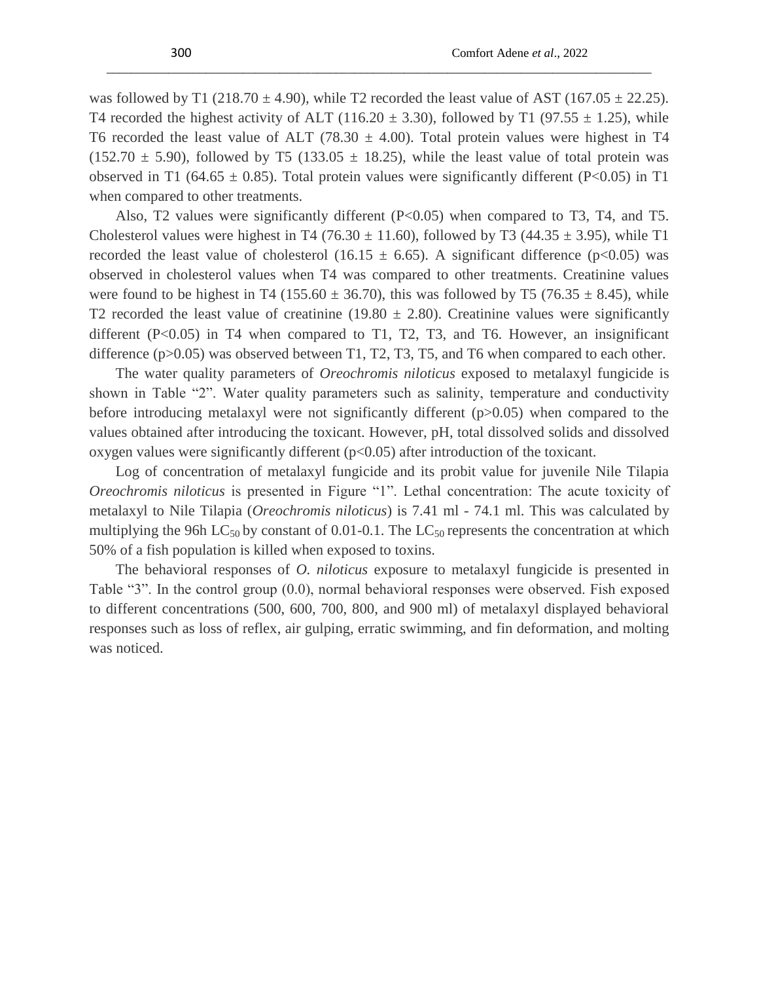was followed by T1 (218.70  $\pm$  4.90), while T2 recorded the least value of AST (167.05  $\pm$  22.25). T4 recorded the highest activity of ALT (116.20  $\pm$  3.30), followed by T1 (97.55  $\pm$  1.25), while T6 recorded the least value of ALT (78.30  $\pm$  4.00). Total protein values were highest in T4  $(152.70 \pm 5.90)$ , followed by T5  $(133.05 \pm 18.25)$ , while the least value of total protein was observed in T1 (64.65  $\pm$  0.85). Total protein values were significantly different (P<0.05) in T1 when compared to other treatments.

\_\_\_\_\_\_\_\_\_\_\_\_\_\_\_\_\_\_\_\_\_\_\_\_\_\_\_\_\_\_\_\_\_\_\_\_\_\_\_\_\_\_\_\_\_\_\_\_\_\_\_\_\_\_\_\_\_\_\_\_\_\_\_\_\_\_\_\_\_\_\_\_\_\_\_\_\_\_\_\_\_\_\_\_\_\_\_\_

Also, T2 values were significantly different  $(P<0.05)$  when compared to T3, T4, and T5. Cholesterol values were highest in T4 (76.30  $\pm$  11.60), followed by T3 (44.35  $\pm$  3.95), while T1 recorded the least value of cholesterol (16.15  $\pm$  6.65). A significant difference (p<0.05) was observed in cholesterol values when T4 was compared to other treatments. Creatinine values were found to be highest in T4 (155.60  $\pm$  36.70), this was followed by T5 (76.35  $\pm$  8.45), while T2 recorded the least value of creatinine (19.80  $\pm$  2.80). Creatinine values were significantly different (P<0.05) in T4 when compared to T1, T2, T3, and T6. However, an insignificant difference (p>0.05) was observed between T1, T2, T3, T5, and T6 when compared to each other.

The water quality parameters of *Oreochromis niloticus* exposed to metalaxyl fungicide is shown in Table "2". Water quality parameters such as salinity, temperature and conductivity before introducing metalaxyl were not significantly different (p>0.05) when compared to the values obtained after introducing the toxicant. However, pH, total dissolved solids and dissolved oxygen values were significantly different (p<0.05) after introduction of the toxicant.

Log of concentration of metalaxyl fungicide and its probit value for juvenile Nile Tilapia *Oreochromis niloticus* is presented in Figure "1". Lethal concentration: The acute toxicity of metalaxyl to Nile Tilapia (*Oreochromis niloticus*) is 7.41 ml - 74.1 ml. This was calculated by multiplying the 96h LC<sub>50</sub> by constant of 0.01-0.1. The LC<sub>50</sub> represents the concentration at which 50% of a fish population is killed when exposed to toxins.

The behavioral responses of *O. niloticus* exposure to metalaxyl fungicide is presented in Table "3". In the control group (0.0), normal behavioral responses were observed. Fish exposed to different concentrations (500, 600, 700, 800, and 900 ml) of metalaxyl displayed behavioral responses such as loss of reflex, air gulping, erratic swimming, and fin deformation, and molting was noticed.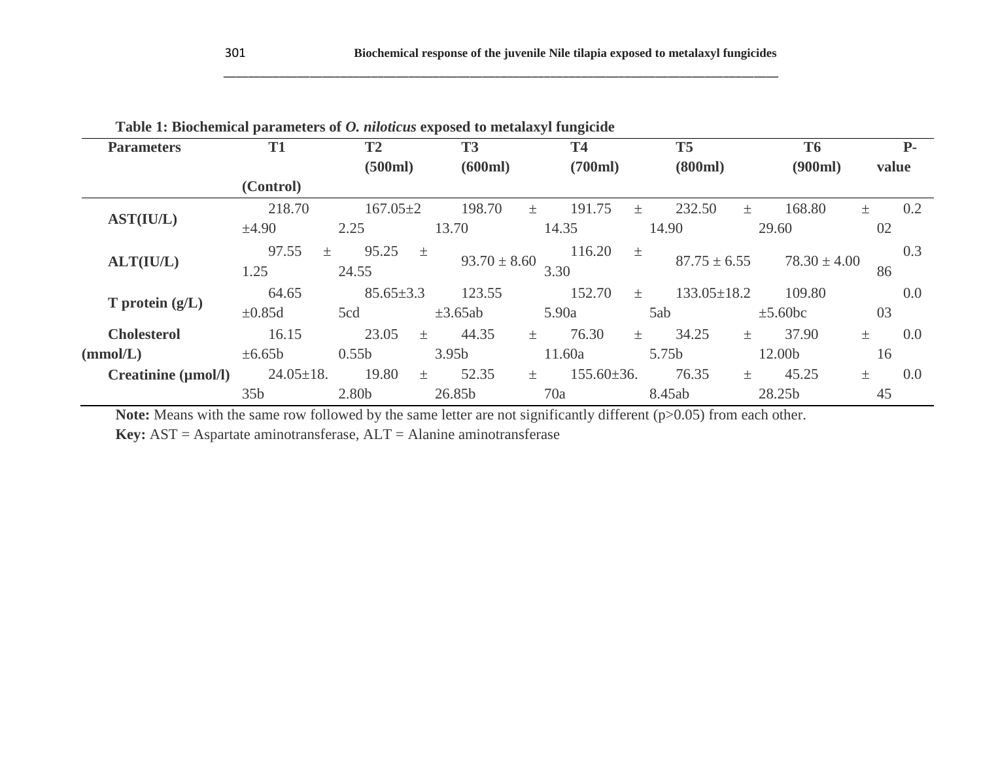| <b>Parameters</b>               | T <sub>1</sub>  | <b>T2</b>         | <b>T3</b>         | <b>T4</b>               | <b>T5</b>                  |              | <b>T6</b>        |       | <b>P</b> - |
|---------------------------------|-----------------|-------------------|-------------------|-------------------------|----------------------------|--------------|------------------|-------|------------|
|                                 |                 | (500ml)           | (600ml)           | (700ml)                 | (800ml)                    |              | (900ml)          | value |            |
|                                 | (Control)       |                   |                   |                         |                            |              |                  |       |            |
|                                 | 218.70          | $167.05 \pm 2$    | 198.70            | 191.75<br>$+$           | 232.50<br>土                | $\pm$        | 168.80           | 土     | 0.2        |
| <b>AST(IU/L)</b>                | ±4.90           | 2.25              | 13.70             | 14.35                   | 14.90                      | 29.60        |                  | 02    |            |
|                                 | 97.55<br>$\pm$  | 95.25             | $\pm$             | 116.20                  | 土                          |              |                  |       | 0.3        |
| ALT(IU/L)                       | 1.25            | 24.55             | $93.70 \pm 8.60$  | 3.30                    | $87.75 \pm 6.55$           |              | $78.30 \pm 4.00$ | 86    |            |
|                                 | 64.65           | $85.65 \pm 3.3$   | 123.55            | 152.70                  | $133.05 \pm 18.2$<br>$\pm$ |              | 109.80           |       | 0.0        |
| $T$ protein $(g/L)$             | $\pm 0.85d$     | 5cd               | $\pm 3.65ab$      | 5.90a                   | 5ab                        | $\pm$ 5.60bc |                  | 03    |            |
| <b>Cholesterol</b>              | 16.15           | 23.05             | 44.35<br>$\pm$    | 76.30<br>$\pm$          | 34.25<br>$\pm$             | $\pm$        | 37.90            | $\pm$ | 0.0        |
| (mmol/L)                        | $\pm 6.65b$     | 0.55 <sub>b</sub> | 3.95 <sub>b</sub> | 11.60a                  | 5.75b                      | 12.00b       |                  | 16    |            |
| Creatinine $(\mu \text{mol/l})$ | $24.05 \pm 18.$ | 19.80             | 52.35<br>$+$      | $155.60\pm36.$<br>$\pm$ | 76.35                      | $\pm$        | 45.25            | $\pm$ | 0.0        |
|                                 | 35 <sub>b</sub> | 2.80b             | 26.85b            | 70a                     | 8.45ab                     | 28.25b       |                  | 45    |            |

\_\_\_\_\_\_\_\_\_\_\_\_\_\_\_\_\_\_\_\_\_\_\_\_\_\_\_\_\_\_\_\_\_\_\_\_\_\_\_\_\_\_\_\_\_\_\_\_\_\_\_\_\_\_\_\_\_\_\_\_\_\_\_\_\_\_\_\_\_\_\_\_\_\_\_\_\_\_\_\_\_\_\_\_\_\_\_\_\_\_

| Table 1: Biochemical parameters of <i>O. niloticus</i> exposed to metalaxyl fungicide |  |  |
|---------------------------------------------------------------------------------------|--|--|
|                                                                                       |  |  |

**Note:** Means with the same row followed by the same letter are not significantly different (p>0.05) from each other.

**Key:** AST = Aspartate aminotransferase, ALT = Alanine aminotransferase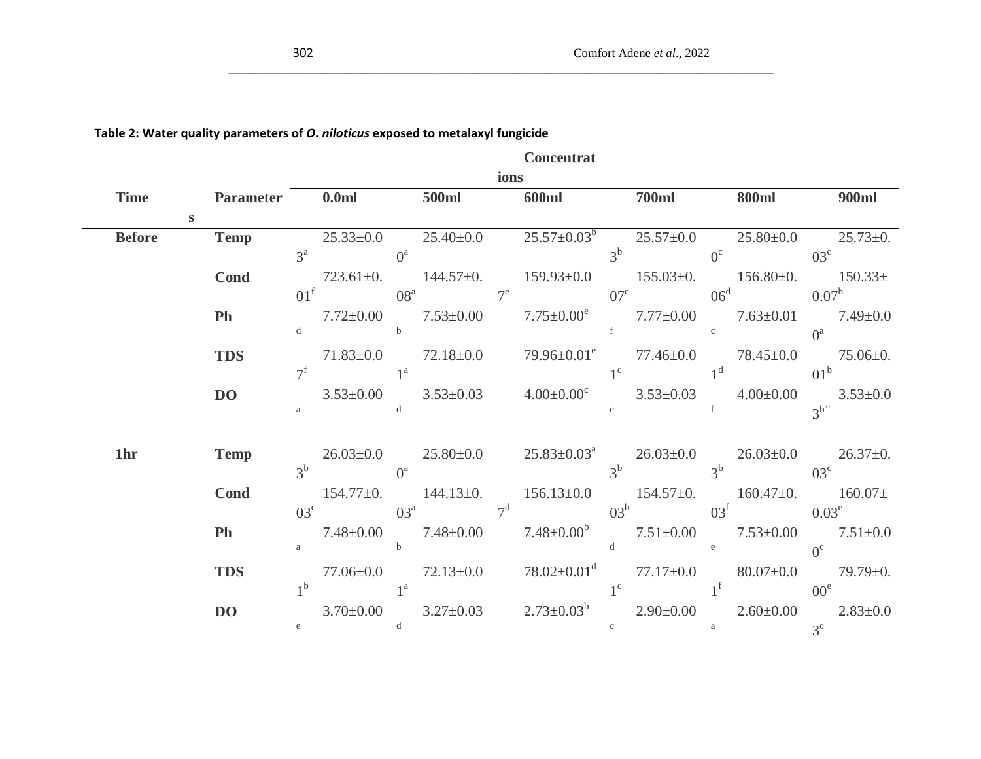| ۰.<br>۰.<br><b>STATE</b><br>I<br>۰.<br>× | I<br>×<br>۰,<br>× | ۰.<br>원 사 |
|------------------------------------------|-------------------|-----------|
|                                          |                   |           |

 $\overline{a}$ 

|               |             |                      |              | Concentrat                                                                                                                                                                                                                                                                                 |                            |              |             |
|---------------|-------------|----------------------|--------------|--------------------------------------------------------------------------------------------------------------------------------------------------------------------------------------------------------------------------------------------------------------------------------------------|----------------------------|--------------|-------------|
|               |             |                      |              | ions                                                                                                                                                                                                                                                                                       |                            |              |             |
|               |             | Time Parameter 0.0ml | <b>500ml</b> | <b>600ml</b>                                                                                                                                                                                                                                                                               | <b>700ml</b>               | <b>800ml</b> | 900ml       |
| <sub>S</sub>  |             |                      |              |                                                                                                                                                                                                                                                                                            |                            |              |             |
| <b>Before</b> | Temp        |                      |              | $25.33\pm0.0$ $25.40\pm0.0$ $25.57\pm0.03^{b}$ $25.57\pm0.0$ $25.80\pm0.0$ $25.73\pm0.$                                                                                                                                                                                                    |                            |              |             |
|               |             |                      |              | $3^a$ 0 <sup>a</sup> $3^b$ 0 <sup>c</sup> 03 <sup>c</sup>                                                                                                                                                                                                                                  |                            |              |             |
|               | <b>Cond</b> |                      |              | 723.61±0. $144.57\pm0$ . $159.93\pm0.0$ $155.03\pm0$ . $156.80\pm0$ . $150.33\pm$                                                                                                                                                                                                          |                            |              |             |
|               |             |                      |              | $01^{\text{f}}$ $08^{\text{a}}$ $7^{\text{e}}$ $07^{\text{c}}$ $06^{\text{d}}$ $0.07^{\text{b}}$                                                                                                                                                                                           |                            |              |             |
|               | Ph          |                      |              |                                                                                                                                                                                                                                                                                            |                            |              |             |
|               |             |                      |              | $7.72 \pm 0.00$<br>$7.53 \pm 0.00$<br>$7.75 \pm 0.00^e$<br>$7.77 \pm 0.00$<br>$7.77 \pm 0.00$<br>$7.63 \pm 0.01$<br>$7.49 \pm 0.0$<br>$7.49 \pm 0.0$<br>$7.49 \pm 0.0$<br>$7.49 \pm 0.0$<br>$7.49 \pm 0.0$<br>$7.49 \pm 0.0$<br>$7.49 \pm 0.0$<br>$7.49 \pm 0.0$<br>$7.49 \pm 0.0$<br>$7.$ |                            |              |             |
|               | <b>TDS</b>  |                      |              |                                                                                                                                                                                                                                                                                            |                            |              |             |
|               |             |                      |              | $7^f$ 1 <sup>a</sup><br>3.53±0.00 3.53±0.03 4.00±0.00 <sup>c</sup> 3.53±0.03 4.00±0.00 3.53±0.0                                                                                                                                                                                            |                            |              |             |
|               | <b>DO</b>   |                      |              |                                                                                                                                                                                                                                                                                            |                            |              |             |
|               |             |                      |              |                                                                                                                                                                                                                                                                                            |                            |              |             |
|               |             |                      |              |                                                                                                                                                                                                                                                                                            |                            |              |             |
| 1hr           | <b>Temp</b> |                      |              | $26.03\pm0.0$ $25.80\pm0.0$ $25.83\pm0.03^a$ $26.03\pm0.0$ $26.03\pm0.0$ $26.37\pm0.$<br>$3b$ 0 <sup>a</sup> 3 <sup>b</sup> 3 <sup>b</sup> 03 <sup>c</sup>                                                                                                                                 |                            |              |             |
|               |             |                      |              |                                                                                                                                                                                                                                                                                            |                            |              |             |
|               | <b>Cond</b> |                      |              | 154.77±0. 144.13±0. 156.13±0.0 154.57±0. 160.47±0. 160.07±<br>$03^c$ $03^a$ $7^d$ $03^b$ $03^f$ $0.03^e$                                                                                                                                                                                   |                            |              |             |
|               | <b>Ph</b>   |                      |              |                                                                                                                                                                                                                                                                                            |                            |              |             |
|               |             |                      |              | 7.48±0.00 7.48±0.00 7.48±0.00 <sup>b</sup> 7.51±0.00 $(7.53\pm0.00)$ 7.53±0.00 7.51±0.0                                                                                                                                                                                                    |                            |              |             |
|               | <b>TDS</b>  |                      |              | 77.06 $\pm$ 0.0 72.13 $\pm$ 0.0 78.02 $\pm$ 0.01 <sup>d</sup> 77.17 $\pm$ 0.0 80.07 $\pm$ 0.0 79.79 $\pm$ 0.                                                                                                                                                                               |                            |              |             |
|               |             | 1 <sup>b</sup>       |              | $1^{\circ}$ $1^{\circ}$ $1^{\circ}$ $00^{\circ}$                                                                                                                                                                                                                                           |                            |              |             |
|               | DO          |                      |              | 3.70±0.00 3.27±0.03 $2.73\pm0.03$ <sup>b</sup> $2.90\pm0.00$ $2.60\pm0.00$ $2.83\pm0.0$                                                                                                                                                                                                    |                            |              |             |
|               |             |                      | d            |                                                                                                                                                                                                                                                                                            | $c \qquad \qquad \text{a}$ |              | $3^{\circ}$ |
|               |             |                      |              |                                                                                                                                                                                                                                                                                            |                            |              |             |

\_\_\_\_\_\_\_\_\_\_\_\_\_\_\_\_\_\_\_\_\_\_\_\_\_\_\_\_\_\_\_\_\_\_\_\_\_\_\_\_\_\_\_\_\_\_\_\_\_\_\_\_\_\_\_\_\_\_\_\_\_\_\_\_\_\_\_\_\_\_\_\_\_\_\_\_\_\_\_\_\_\_\_\_\_\_\_\_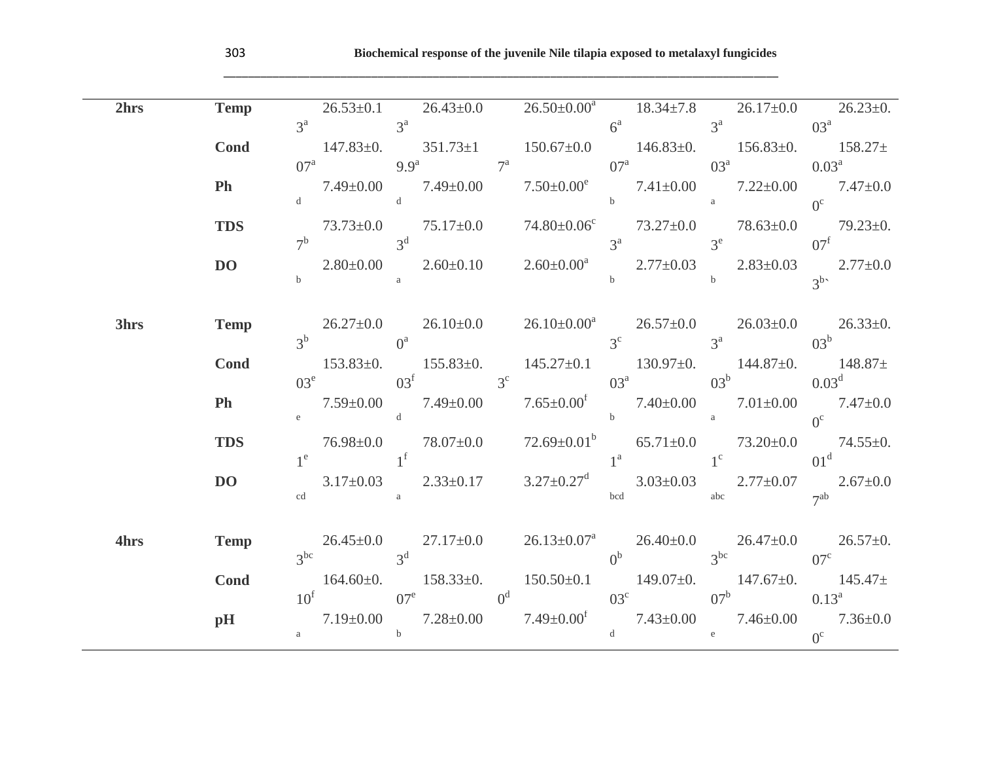\_\_\_\_\_\_\_\_\_\_\_\_\_\_\_\_\_\_\_\_\_\_\_\_\_\_\_\_\_\_\_\_\_\_\_\_\_\_\_\_\_\_\_\_\_\_\_\_\_\_\_\_\_\_\_\_\_\_\_\_\_\_\_\_\_\_\_\_\_\_\_\_\_\_\_\_\_\_\_\_\_\_\_\_\_\_\_\_\_\_

| 2hrs | Temp         |        |  |  |  | $26.53\pm0.1$ $26.43\pm0.0$ $26.50\pm0.00^a$ $18.34\pm7.8$ $26.17\pm0.0$ $26.23\pm0.$                                                                                                                                   |
|------|--------------|--------|--|--|--|-------------------------------------------------------------------------------------------------------------------------------------------------------------------------------------------------------------------------|
|      |              |        |  |  |  | $3^a$ $3^a$ $3^a$ $351.73 \pm 1$ $150.67 \pm 0.0$ $6^a$ $3^a$ $3^a$ $03^a$ $03^a$ $03^a$ $146.83 \pm 0.$ $156.83 \pm 0.$ $158.27 \pm 0.0$                                                                               |
|      | <b>Cond</b>  |        |  |  |  |                                                                                                                                                                                                                         |
|      |              |        |  |  |  | $07^a$ 9.9 <sup>a</sup> $7^a$ $07^a$ $03^a$ $0.03^a$                                                                                                                                                                    |
|      | <b>Ph</b>    |        |  |  |  | $7.49 \pm 0.00 \qquad 7.49 \pm 0.00 \qquad 7.50 \pm 0.00^{\circ} \qquad 7.41 \pm 0.00 \qquad 7.22 \pm 0.00 \qquad 7.47 \pm 0.0$                                                                                         |
|      |              |        |  |  |  |                                                                                                                                                                                                                         |
|      | <b>TDS</b>   |        |  |  |  | $73.73 \pm 0.0$ $75.17 \pm 0.0$ $74.80 \pm 0.06$ $73.27 \pm 0.0$ $78.63 \pm 0.0$ $79.23 \pm 0.$                                                                                                                         |
|      |              |        |  |  |  |                                                                                                                                                                                                                         |
|      | DO <b>DO</b> |        |  |  |  | $7^b$ 3 <sup>d</sup><br>2.80±0.00 3 <sup>d</sup><br>b 2.60±0.10 2.60±0.00 <sup>a</sup> 3 <sup>e</sup> 3 <sup>e</sup> 07 <sup>f</sup><br>2.77±0.03 3 <sup>e</sup> 2.83±0.03 2.77±0.0                                     |
|      |              |        |  |  |  |                                                                                                                                                                                                                         |
| 3hrs | <b>Temp</b>  |        |  |  |  |                                                                                                                                                                                                                         |
|      |              |        |  |  |  | $\begin{array}{ccccccccc} & 26.27 \pm 0.0 & 26.10 \pm 0.0 & 26.10 \pm 0.00^{\mathrm{a}} & 26.57 \pm 0.0 & 26.03 \pm 0.0 & 26.33 \pm 0. \\ & & 3^{\mathrm{c}} & & 3^{\mathrm{a}} & & 03^{\mathrm{b}} & & \\ \end{array}$ |
|      | <b>Cond</b>  |        |  |  |  | 153.83±0. 155.83±0. 145.27±0.1 130.97±0. 144.87±0. 148.87±                                                                                                                                                              |
|      |              |        |  |  |  | $03^e$ $03^f$ $3^c$ $03^a$ $03^b$ $0.03^d$                                                                                                                                                                              |
|      | Ph           |        |  |  |  | $7.59 \pm 0.00$ $7.49 \pm 0.00$ $7.65 \pm 0.00$ $7.40 \pm 0.00$ $7.01 \pm 0.00$ $7.47 \pm 0.0$<br>e $0^{\circ}$                                                                                                         |
|      |              |        |  |  |  |                                                                                                                                                                                                                         |
|      | <b>TDS</b>   |        |  |  |  | $\begin{array}{ccc} 76.98 {\pm} 0.0 & 78.07 {\pm} 0.0 & 72.69 {\pm} 0.01^b & 65.71 {\pm} 0.0 & 73.20 {\pm} 0.0 & 74.55 {\pm} 0. \\ 1^e & 1^e & 1^c & 01^d \end{array}$                                                  |
|      |              |        |  |  |  |                                                                                                                                                                                                                         |
|      | <b>DO</b>    |        |  |  |  | 3.17±0.03  2.33±0.17  3.27±0.27 <sup>d</sup> 3.03±0.03  2.77±0.07  2.67±0.0                                                                                                                                             |
|      |              | $cd$ a |  |  |  | bcd abc 7 <sup>ab</sup>                                                                                                                                                                                                 |
|      |              |        |  |  |  |                                                                                                                                                                                                                         |
| 4hrs | Temp         |        |  |  |  | $\begin{array}{ccc} 26.45 \pm 0.0 & 27.17 \pm 0.0 & 26.13 \pm 0.07^{\rm a} & 26.40 \pm 0.0 & 26.47 \pm 0.0 & 26.57 \pm 0. \\ 3^{\rm bc} & 0^{\rm b} & 3^{\rm bc} & 07^{\rm c} & 0 \end{array}$                          |
|      |              |        |  |  |  |                                                                                                                                                                                                                         |
|      | Cond         |        |  |  |  | 164.60±0. 158.33±0. 150.50±0.1 149.07±0. 147.67±0. 145.47±<br>$10^{\text{f}}$ $07^{\text{e}}$ $0^{\text{d}}$ $03^{\text{c}}$ $07^{\text{b}}$ $0.13^{\text{a}}$                                                          |
|      | pH           |        |  |  |  |                                                                                                                                                                                                                         |
|      |              |        |  |  |  | 7.19±0.00<br>$7.28\pm0.00$<br>7.49±0.00 <sup>f</sup><br>$7.43\pm0.00$<br><sup>d</sup><br><sup>d</sup><br><sup>2.43±0.00 <br/> <sup>d</sup> <br/> <sup>2.46±0.00 <br/> <sup>0</sup></sup></sup>                          |
|      |              |        |  |  |  |                                                                                                                                                                                                                         |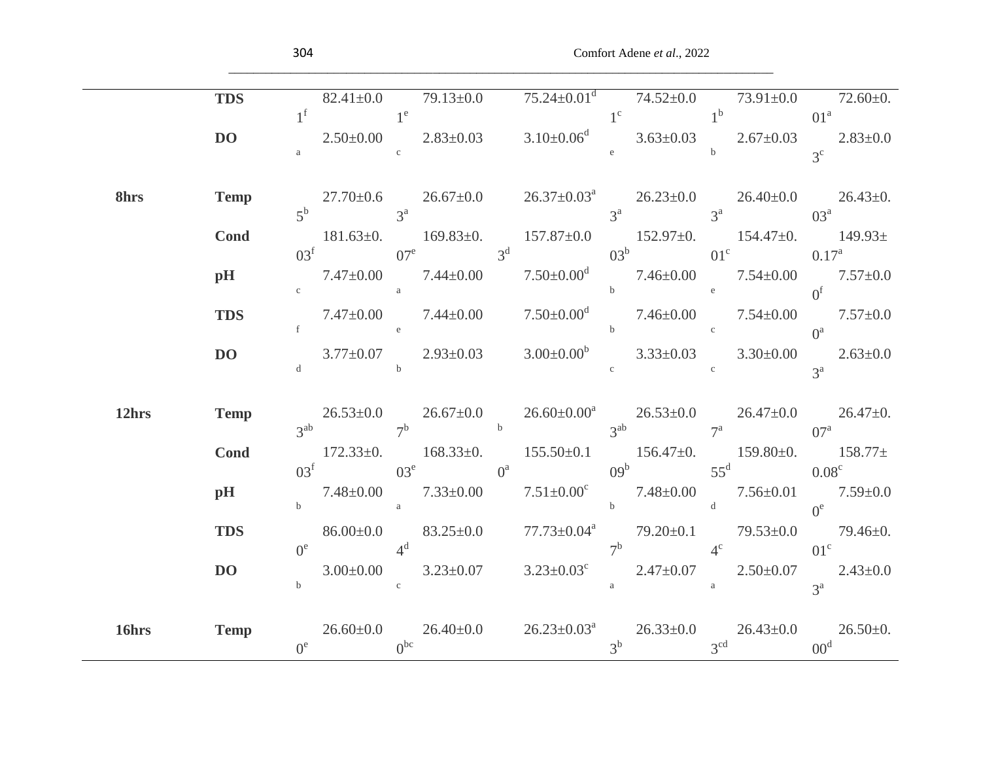| 82.41±0.0 79.13±0.0 $75.24 \pm 0.01^d$ 74.52±0.0 73.91±0.0 72.60±0.<br><b>TDS</b>                                                                                                                                        |  |
|--------------------------------------------------------------------------------------------------------------------------------------------------------------------------------------------------------------------------|--|
|                                                                                                                                                                                                                          |  |
| $1^{\text{f}}$ $1^{\text{e}}$ $2.50\pm0.00$ $2.83\pm0.03$ $3.10\pm0.06^{\text{d}}$ $3.63\pm0.03$ $2.67\pm0.03$ $2.83\pm0.0$ $3^{\text{c}}$<br>DO 1                                                                       |  |
|                                                                                                                                                                                                                          |  |
|                                                                                                                                                                                                                          |  |
| $27.70\pm0.6$ $26.67\pm0.0$ $26.37\pm0.03^a$ $26.23\pm0.0$ $26.40\pm0.0$ $26.43\pm0.$<br>8hrs Temp                                                                                                                       |  |
| $5^b$ $3^a$ $3^a$ $3^a$ $3^a$ $3^a$                                                                                                                                                                                      |  |
| $181.63\pm0.$ $169.83\pm0.$ $157.87\pm0.0$ $152.97\pm0.$ $154.47\pm0.$ $149.93\pm$<br>Cond                                                                                                                               |  |
| $03^{\circ}$ $07^{\circ}$ $3^{\circ}$ $03^{\circ}$ $01^{\circ}$ $0.17^{\circ}$ $0.17^{\circ}$                                                                                                                            |  |
| 7.47±0.00  7.44±0.00  7.50±0.00 <sup>d</sup> 5  7.46±0.00  7.54±0.00  7.57±0.0<br>pH                                                                                                                                     |  |
|                                                                                                                                                                                                                          |  |
| $\begin{array}{ccccccccc} & 7.47 \pm 0.00 & & 7.44 \pm 0.00 & & 7.50 \pm 0.00^{\rm d} & & 7.46 \pm 0.00 & & 7.54 \pm 0.00 & & 7.57 \pm 0.0 \\ & \tiny \textrm{f} & & & & & & 0^{\rm a} & & \\ \end{array}$<br><b>TDS</b> |  |
|                                                                                                                                                                                                                          |  |
| 3.77±0.07  2.93±0.03  3.00±0.00 <sup>b</sup> 3.33±0.03  3.30±0.00  2.63±0.0<br>DO <b>DO</b>                                                                                                                              |  |
|                                                                                                                                                                                                                          |  |
|                                                                                                                                                                                                                          |  |
| $26.53\pm0.0$ $26.67\pm0.0$ $26.60\pm0.00^{a}$ $26.53\pm0.0$ $26.47\pm0.0$ $26.47\pm0.$<br>3 <sup>ab</sup> $7^{a}$ $07^{a}$<br>12 <sub>hrs</sub><br><b>Temp</b>                                                          |  |
| $172.33\pm0.$ $168.33\pm0.$ $155.50\pm0.1$ $156.47\pm0.$ $159.80\pm0.$ $158.77\pm$<br>Cond                                                                                                                               |  |
| $03^e$ $03^e$ $0^a$ $09^b$ $55^d$ $0.08^c$                                                                                                                                                                               |  |
| pH                                                                                                                                                                                                                       |  |
| $\begin{array}{ccccccccc} & & 7.48 \pm 0.00 & & 7.33 \pm 0.00 & & 7.51 \pm 0.00^{\rm c} & & 7.48 \pm 0.00 & & 7.56 \pm 0.01 & & 7.59 \pm 0.0 \\ & \tiny b & & & & & 0^{\rm e} & & \\ \end{array}$                        |  |
| 86.00 $\pm$ 0.0 83.25 $\pm$ 0.0 77.73 $\pm$ 0.04 <sup>a</sup> 79.20 $\pm$ 0.1 79.53 $\pm$ 0.0 79.46 $\pm$ 0.<br><b>TDS</b>                                                                                               |  |
| $0^e$ $4^d$ $7^b$ $4^c$ $01^c$                                                                                                                                                                                           |  |
| 3.00 $\pm$ 0.00 3.23 $\pm$ 0.07 3.23 $\pm$ 0.03° 2.47 $\pm$ 0.07 2.50 $\pm$ 0.07 2.43 $\pm$ 0.0<br><b>DO</b>                                                                                                             |  |
| $\mathbf c$<br>$\alpha$ and $\alpha$<br>$\mathbf b$<br>$3^{\mathrm{a}}$                                                                                                                                                  |  |
|                                                                                                                                                                                                                          |  |
| $26.60\pm0.0$ $26.40\pm0.0$ $26.23\pm0.03^a$ $26.33\pm0.0$ $26.43\pm0.0$ $26.50\pm0.$<br><b>Temp</b><br>16hrs                                                                                                            |  |
| $3^b$ $3^{cd}$ $00^d$<br>$0^e$ 0 <sup>bc</sup>                                                                                                                                                                           |  |

\_\_\_\_\_\_\_\_\_\_\_\_\_\_\_\_\_\_\_\_\_\_\_\_\_\_\_\_\_\_\_\_\_\_\_\_\_\_\_\_\_\_\_\_\_\_\_\_\_\_\_\_\_\_\_\_\_\_\_\_\_\_\_\_\_\_\_\_\_\_\_\_\_\_\_\_\_\_\_\_\_\_\_\_\_\_\_\_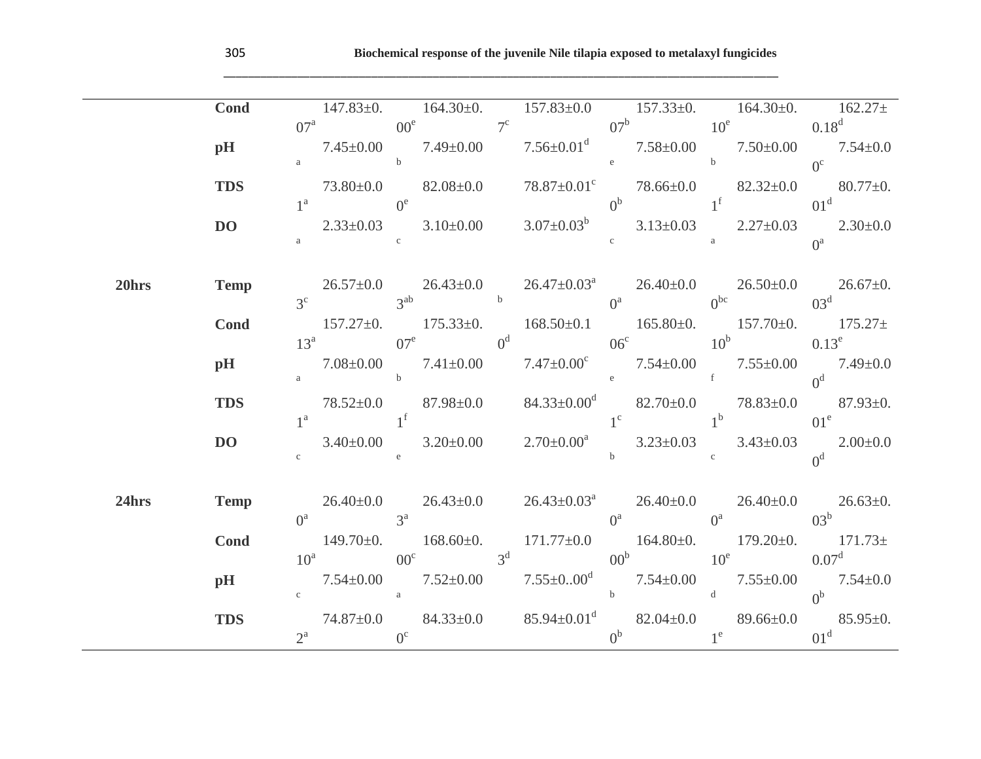\_\_\_\_\_\_\_\_\_\_\_\_\_\_\_\_\_\_\_\_\_\_\_\_\_\_\_\_\_\_\_\_\_\_\_\_\_\_\_\_\_\_\_\_\_\_\_\_\_\_\_\_\_\_\_\_\_\_\_\_\_\_\_\_\_\_\_\_\_\_\_\_\_\_\_\_\_\_\_\_\_\_\_\_\_\_\_\_\_\_

|       | Cond           |                                    |                               |                                      |                                         |  | $147.83 \pm 0.$ $164.30 \pm 0.$ $157.83 \pm 0.0$ $157.33 \pm 0.$ $164.30 \pm 0.$ $162.27 \pm 0.$                                                                                                        |
|-------|----------------|------------------------------------|-------------------------------|--------------------------------------|-----------------------------------------|--|---------------------------------------------------------------------------------------------------------------------------------------------------------------------------------------------------------|
|       |                |                                    |                               |                                      |                                         |  | $07^a$ $00^e$ $7^c$ $07^b$ $10^e$ $0.18^d$                                                                                                                                                              |
|       | pH             |                                    |                               |                                      |                                         |  | $7.45\pm0.00$ $7.49\pm0.00$ $7.56\pm0.01$ <sup>d</sup> $7.58\pm0.00$ $7.50\pm0.00$ $7.54\pm0.0$                                                                                                         |
|       |                |                                    | $\mathbf a$ b                 |                                      |                                         |  | $73.80 \pm 0.0$ $82.08 \pm 0.0$ $78.87 \pm 0.01$ <sup>c</sup> $78.66 \pm 0.0$ $82.32 \pm 0.0$ $80.77 \pm 0.$                                                                                            |
|       | <b>TDS</b>     |                                    |                               |                                      |                                         |  |                                                                                                                                                                                                         |
|       |                |                                    |                               |                                      |                                         |  | $1^a$ 0 <sup>e</sup> 0 <sup>b</sup> $1^f$ 01 <sup>d</sup>                                                                                                                                               |
|       | DO <b>DO</b>   |                                    |                               |                                      |                                         |  | $2.33\pm0.03$ $3.10\pm0.00$ $3.07\pm0.03$ $3.13\pm0.03$ $2.27\pm0.03$ $2.30\pm0.0$                                                                                                                      |
|       |                | $\alpha$ and $\alpha$ and $\alpha$ |                               |                                      | $\mathbf c$ and $\mathbf a$             |  | $0^a$                                                                                                                                                                                                   |
|       |                |                                    |                               |                                      |                                         |  |                                                                                                                                                                                                         |
| 20hrs | <b>Temp</b>    |                                    |                               |                                      |                                         |  | $26.57 \pm 0.0$ $26.43 \pm 0.0$ $26.47 \pm 0.03^a$ $26.40 \pm 0.0$ $26.50 \pm 0.0$ $26.67 \pm 0.$<br>3 <sup>c</sup> $0^{3d}$ $0^{3d}$ $0^{3d}$ $0^{3d}$ $0^{3d}$                                        |
|       |                |                                    |                               |                                      |                                         |  |                                                                                                                                                                                                         |
|       | Cond           |                                    |                               |                                      |                                         |  | 157.27±0. 175.33±0. 168.50±0.1 165.80±0. 157.70±0. 175.27±<br>13 <sup>a</sup> 07 <sup>e</sup> 0 <sup>d</sup> 06 <sup>c</sup> 10 <sup>b</sup> 0.13 <sup>e</sup> 0.13 <sup>e</sup>                        |
|       |                |                                    |                               |                                      |                                         |  |                                                                                                                                                                                                         |
|       | pH             |                                    |                               |                                      |                                         |  | 7.08±0.00 7.41±0.00 7.47±0.00° 7.54±0.00 7.55±0.00 7.49±0.0                                                                                                                                             |
|       |                |                                    |                               |                                      |                                         |  | a b $e$ f $0^d$ $(1.5-0.5)$                                                                                                                                                                             |
|       | <b>TDS</b>     |                                    |                               |                                      |                                         |  | 78.52±0.0 87.98±0.0 84.33±0.00 <sup>d</sup> 82.70±0.0 78.83±0.0 87.93±0.                                                                                                                                |
|       |                |                                    |                               |                                      |                                         |  | $1^a$ $1^f$ $1^c$ $1^b$ $01^e$                                                                                                                                                                          |
|       | DO <b>DO</b>   | $c$ e                              |                               |                                      |                                         |  | 3.40±0.00 3.20±0.00 $2.70\pm0.00^a$ 3.23±0.03 3.43±0.03 2.00±0.0                                                                                                                                        |
|       |                |                                    |                               |                                      | b c $\qquad \qquad c \qquad \qquad 0^d$ |  |                                                                                                                                                                                                         |
|       |                |                                    |                               |                                      |                                         |  |                                                                                                                                                                                                         |
| 24hrs | <b>Temp</b>    |                                    |                               |                                      |                                         |  | $26.40\pm0.0$ $26.43\pm0.0$ $26.43\pm0.03^a$ $26.40\pm0.0$ $26.40\pm0.0$ $26.63\pm0.$                                                                                                                   |
|       |                |                                    | $0^a$ 3 <sup>a</sup>          | $0^a$ and $0^a$ and $0^3$ b          |                                         |  |                                                                                                                                                                                                         |
|       | Cond           |                                    |                               |                                      |                                         |  | 149.70±0. 168.60±0. 171.77±0.0 164.80±0. 179.20±0. 171.73±                                                                                                                                              |
|       |                |                                    |                               |                                      |                                         |  | $10^a$ $00^c$ $3^d$ $00^b$ $10^e$ $0.07^d$                                                                                                                                                              |
|       | $\mathbf{p}$ H |                                    |                               |                                      |                                         |  |                                                                                                                                                                                                         |
|       |                |                                    |                               |                                      |                                         |  | $7.54\pm0.00$ $7.52\pm0.00$ $7.55\pm0.00^{d}$ $7.54\pm0.00$ $7.55\pm0.00$ $7.55\pm0.00$ $7.54\pm0.0$ $0^{b}$<br>$74.87\pm0.0$ $84.33\pm0.0$ $85.94\pm0.01^{d}$ $82.04\pm0.0$ $89.66\pm0.0$ $85.95\pm0.$ |
|       | <b>TDS</b>     |                                    | $2^{\text{a}}$ 0 <sup>c</sup> | $0^b$ 1 <sup>e</sup> 01 <sup>d</sup> |                                         |  |                                                                                                                                                                                                         |
|       |                |                                    |                               |                                      |                                         |  |                                                                                                                                                                                                         |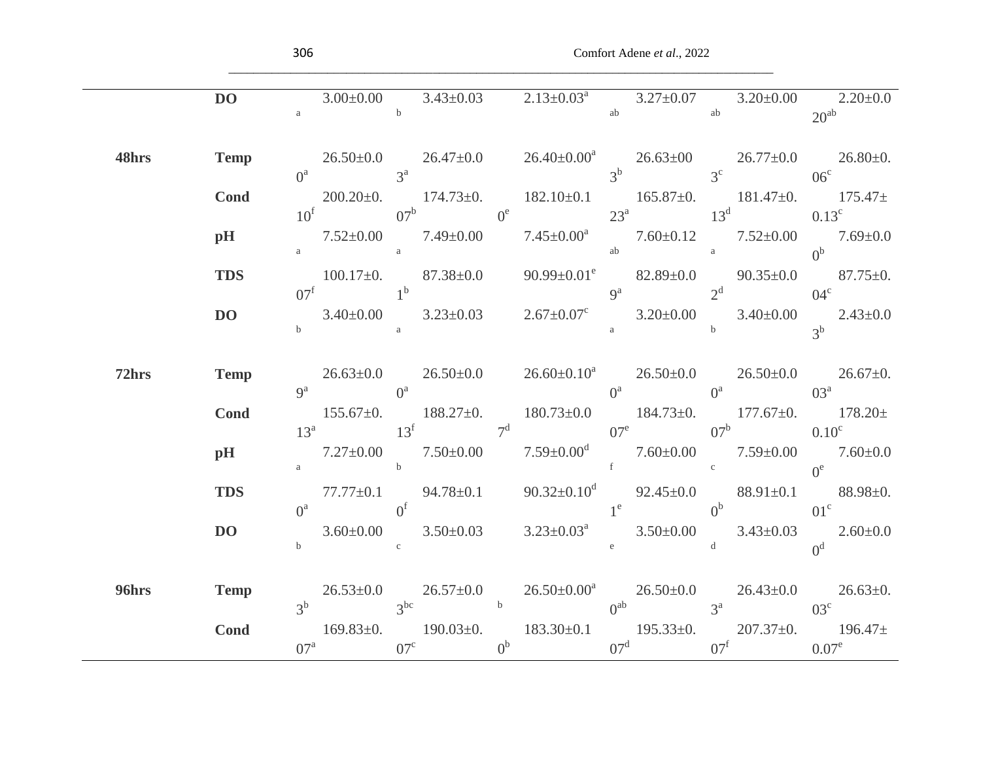| DO DO                                                                                                                                                                                                                                                                                                                                                                                        |  |
|----------------------------------------------------------------------------------------------------------------------------------------------------------------------------------------------------------------------------------------------------------------------------------------------------------------------------------------------------------------------------------------------|--|
| 3.00±0.00 3.43±0.03 2.13±0.03 <sup>a</sup> 3.27±0.07 3.20±0.00 2.20±0.0<br>ab 20 <sup>ab</sup> 20 <sup>ab</sup><br>$\mathbf a$ b                                                                                                                                                                                                                                                             |  |
|                                                                                                                                                                                                                                                                                                                                                                                              |  |
| $\begin{array}{ccccccccc} & 26.50 \pm 0.0 & & 26.47 \pm 0.0 & & 26.40 \pm 0.00^{\mathrm{a}} & & 26.63 \pm 00 & & 26.77 \pm 0.0 & & 26.80 \pm 0. \\ & & 3^{\mathrm{a}} & & 3^{\mathrm{b}} & & 3^{\mathrm{c}} & & 06^{\mathrm{c}} \\ \end{array}$<br>48hrs<br><b>Temp</b>                                                                                                                      |  |
|                                                                                                                                                                                                                                                                                                                                                                                              |  |
| 200.20 $\pm$ 0. 174.73 $\pm$ 0. 182.10 $\pm$ 0.1 165.87 $\pm$ 0. 181.47 $\pm$ 0. 175.47 $\pm$<br>Cond                                                                                                                                                                                                                                                                                        |  |
| $10^{\circ}$ 07 <sup>b</sup> 0 <sup>e</sup> 23 <sup>a</sup> 13 <sup>d</sup> 0.13 <sup>c</sup>                                                                                                                                                                                                                                                                                                |  |
| 7.52±0.00 7.49±0.00 7.45±0.00 <sup>a</sup> 7.60±0.12 7.52±0.00 7.69±0.0<br>pH                                                                                                                                                                                                                                                                                                                |  |
| a a $0^b$<br>100.17±0. 87.38±0.0 90.99±0.01 <sup>e</sup> 82.89±0.0 90.35±0.0 87.75±0.                                                                                                                                                                                                                                                                                                        |  |
| <b>TDS</b><br>100.17±0. 87.38±0.0<br>$1^{b}$<br>3.40±0.00<br>3.23±0.03<br>3.25±0.03<br>3.67±0.07 <sup>c</sup><br>3.20±0.00<br><sub>3</sub><br>3.40±0.00<br>3 <sup>b</sup><br>3.40±0.00<br>3 <sup>b</sup>                                                                                                                                                                                     |  |
| <b>DO</b>                                                                                                                                                                                                                                                                                                                                                                                    |  |
|                                                                                                                                                                                                                                                                                                                                                                                              |  |
|                                                                                                                                                                                                                                                                                                                                                                                              |  |
| $26.63\pm0.0$ $26.50\pm0.0$ $26.60\pm0.10^a$ $26.50\pm0.0$ $26.50\pm0.0$ $26.67\pm0.$<br><b>Temp</b><br>72hrs                                                                                                                                                                                                                                                                                |  |
| $9^a$ $0^a$ $0^3$ $0^3$ $0^3$ $0^3$                                                                                                                                                                                                                                                                                                                                                          |  |
| $\begin{array}{ccccccccc} & 155.67 \pm 0. & & 188.27 \pm 0. & & 180.73 \pm 0.0 & & 184.73 \pm 0. & & 177.67 \pm 0. & & 178.20 \pm & & & & & & 13^{\mathrm{f}} & & & & 13^{\mathrm{f}} & & & & 13^{\mathrm{f}} & & & & 13^{\mathrm{f}} & & & & 13^{\mathrm{f}} & & & & 13^{\mathrm{f}} & & & & 13^{\mathrm{f}} & & & & 13^{\mathrm{f}} & & & & 13^{\mathrm{f}} & & & & & 13^{\mathrm$<br>Cond |  |
|                                                                                                                                                                                                                                                                                                                                                                                              |  |
| pH                                                                                                                                                                                                                                                                                                                                                                                           |  |
|                                                                                                                                                                                                                                                                                                                                                                                              |  |
| 77.77±0.1 94.78±0.1 90.32±0.10 <sup>d</sup> 92.45±0.0 88.91±0.1 88.98±0.<br>0 <sup>a</sup> 0 <sup>f</sup> 94.78±0.1 90.32±0.10 <sup>d</sup> 92.45±0.0 0 <sup>b</sup> 88.91±0.1 01 <sup>c</sup><br><b>TDS</b>                                                                                                                                                                                 |  |
|                                                                                                                                                                                                                                                                                                                                                                                              |  |
| $3.60\pm0.00$ $3.50\pm0.03$ $3.23\pm0.03^a$ $3.50\pm0.00$ $3.43\pm0.03$ $2.60\pm0.0$<br>b $0^d$<br>DO                                                                                                                                                                                                                                                                                        |  |
|                                                                                                                                                                                                                                                                                                                                                                                              |  |
| 96hrs<br><b>Temp</b>                                                                                                                                                                                                                                                                                                                                                                         |  |
| $3^b$ $26.53\pm0.0$ $26.57\pm0.0$ $26.50\pm0.00^a$ $26.50\pm0.0$ $26.43\pm0.0$ $26.43\pm0.0$ $26.63\pm0.$                                                                                                                                                                                                                                                                                    |  |
| <b>Cond</b>                                                                                                                                                                                                                                                                                                                                                                                  |  |
| $\frac{169.83\pm0.}{07^a} \quad \frac{190.03\pm0.}{0^b} \quad \frac{183.30\pm0.1}{0^d} \quad \frac{195.33\pm0.}{07^f} \quad \frac{207.37\pm0.}{0.07^e} \quad \frac{196.47\pm0.}{0.07^e}$                                                                                                                                                                                                     |  |

\_\_\_\_\_\_\_\_\_\_\_\_\_\_\_\_\_\_\_\_\_\_\_\_\_\_\_\_\_\_\_\_\_\_\_\_\_\_\_\_\_\_\_\_\_\_\_\_\_\_\_\_\_\_\_\_\_\_\_\_\_\_\_\_\_\_\_\_\_\_\_\_\_\_\_\_\_\_\_\_\_\_\_\_\_\_\_\_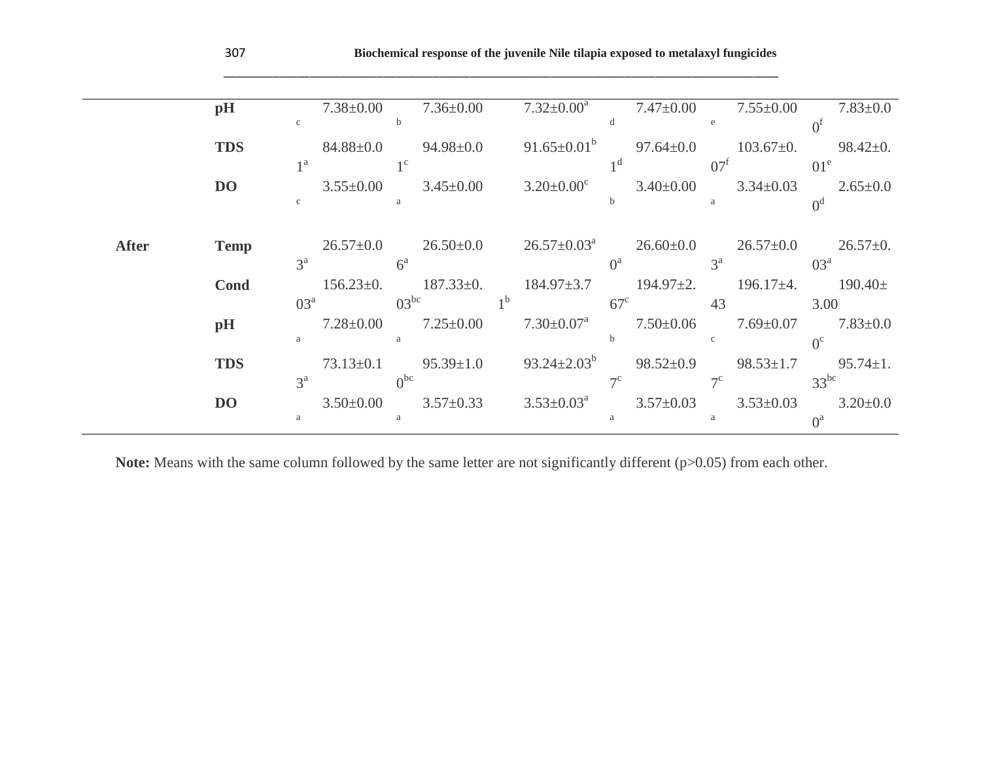|              | pH             |                 | $7.38 \pm 0.00$ |                 | $7.36 \pm 0.00$ |                | $7.32 \pm 0.00^a$           |              | $7.47 \pm 0.00$ |                 | $7.55 \pm 0.00$ |                 | $7.83 \pm 0.0$ |
|--------------|----------------|-----------------|-----------------|-----------------|-----------------|----------------|-----------------------------|--------------|-----------------|-----------------|-----------------|-----------------|----------------|
|              |                | $\mathbf{c}$    |                 | b               |                 |                |                             | d            |                 |                 |                 |                 |                |
|              |                |                 | $84.88 \pm 0.0$ |                 | $94.98 \pm 0.0$ |                | $91.65 \pm 0.01^b$          |              | $97.64 \pm 0.0$ |                 | $103.67 \pm 0.$ |                 | $98.42 \pm 0.$ |
|              | <b>TDS</b>     |                 |                 |                 |                 |                |                             |              |                 |                 |                 |                 |                |
|              |                | 1 <sup>a</sup>  |                 | $1^{\circ}$     |                 |                |                             |              |                 | 07 <sup>t</sup> |                 | 01 <sup>e</sup> |                |
|              | <b>DO</b>      |                 | $3.55 \pm 0.00$ |                 | $3.45 \pm 0.00$ |                | $3.20 \pm 0.00^{\circ}$     |              | $3.40 \pm 0.00$ |                 | $3.34 \pm 0.03$ |                 | $2.65 \pm 0.0$ |
|              |                | $\mathbf{c}$    |                 | a               |                 |                |                             |              |                 | a               |                 | 0 <sup>d</sup>  |                |
|              |                |                 |                 |                 |                 |                |                             |              |                 |                 |                 |                 |                |
|              |                |                 |                 |                 |                 |                |                             |              |                 |                 |                 |                 |                |
| <b>After</b> | <b>Temp</b>    |                 | $26.57 \pm 0.0$ |                 | $26.50 \pm 0.0$ |                | $26.57 \pm 0.03^{\text{a}}$ |              | $26.60 \pm 0.0$ |                 | $26.57 \pm 0.0$ |                 | $26.57 \pm 0.$ |
|              |                | $3^a$           |                 | $6^a$           |                 |                |                             | $\Omega^a$   |                 | $3^a$           |                 | 03 <sup>a</sup> |                |
|              |                |                 | $156.23 \pm 0.$ |                 | $187.33 \pm 0.$ |                | $184.97 \pm 3.7$            |              | $194.97 \pm 2.$ |                 | $196.17 \pm 4.$ |                 | $190.40 \pm$   |
|              | <b>Cond</b>    |                 |                 |                 |                 |                |                             |              |                 |                 |                 |                 |                |
|              |                | 03 <sup>a</sup> |                 | $03^{bc}$       |                 | 1 <sup>b</sup> |                             | $67^{\circ}$ |                 | 43              |                 | 3.00            |                |
|              | pH             |                 | $7.28 \pm 0.00$ |                 | $7.25 \pm 0.00$ |                | $7.30 \pm 0.07^{\text{a}}$  |              | $7.50 \pm 0.06$ |                 | $7.69 \pm 0.07$ |                 | $7.83 \pm 0.0$ |
|              |                | a               |                 | a               |                 |                |                             |              |                 | $\mathbf{c}$    |                 | $O^{c}$         |                |
|              |                |                 |                 |                 |                 |                |                             |              |                 |                 |                 |                 |                |
|              | <b>TDS</b>     |                 | $73.13 \pm 0.1$ |                 | $95.39 \pm 1.0$ |                | $93.24 \pm 2.03^b$          |              | $98.52 \pm 0.9$ |                 | $98.53 \pm 1.7$ |                 | $95.74 \pm 1.$ |
|              |                | $3^a$           |                 | 0 <sup>bc</sup> |                 |                |                             | $7^{\circ}$  |                 | $7^{\circ}$     |                 | $33^{bc}$       |                |
|              | D <sub>O</sub> |                 | $3.50 \pm 0.00$ |                 | $3.57 \pm 0.33$ |                | $3.53 \pm 0.03^{\text{a}}$  |              | $3.57 \pm 0.03$ |                 | $3.53 \pm 0.03$ |                 | $3.20 \pm 0.0$ |
|              |                | a               |                 | a               |                 |                |                             |              |                 | a               |                 | O <sup>a</sup>  |                |
|              |                |                 |                 |                 |                 |                |                             |              |                 |                 |                 |                 |                |

\_\_\_\_\_\_\_\_\_\_\_\_\_\_\_\_\_\_\_\_\_\_\_\_\_\_\_\_\_\_\_\_\_\_\_\_\_\_\_\_\_\_\_\_\_\_\_\_\_\_\_\_\_\_\_\_\_\_\_\_\_\_\_\_\_\_\_\_\_\_\_\_\_\_\_\_\_\_\_\_\_\_\_\_\_\_\_\_\_\_

Note: Means with the same column followed by the same letter are not significantly different (p>0.05) from each other.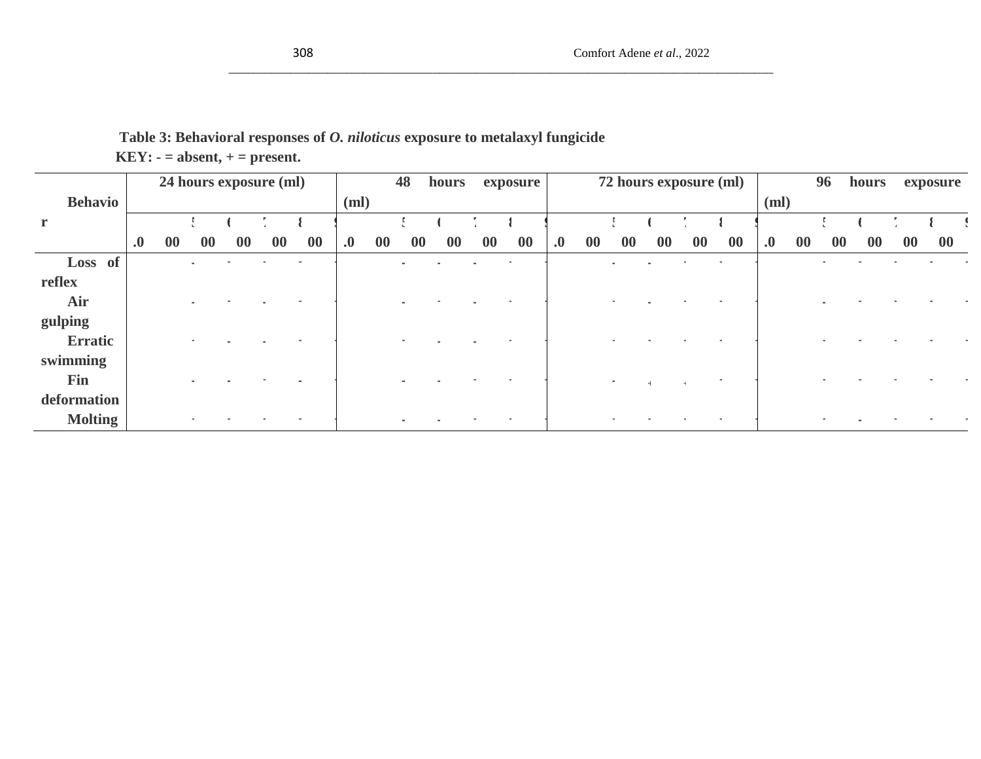# **Table 3: Behavioral responses of** *O. niloticus* **exposure to metalaxyl fungicide KEY: - = absent, + = present.**

|                |                   |    |           |    | 24 hours exposure (ml) |    |                    |    | 48        | hours |    | exposure |                   |    |           | 72 hours exposure (ml) |           |                          |                   |    | 96        | hours     |           | exposure  |
|----------------|-------------------|----|-----------|----|------------------------|----|--------------------|----|-----------|-------|----|----------|-------------------|----|-----------|------------------------|-----------|--------------------------|-------------------|----|-----------|-----------|-----------|-----------|
| <b>Behavio</b> |                   |    |           |    |                        |    | (ml)               |    |           |       |    |          |                   |    |           |                        |           |                          | (ml)              |    |           |           |           |           |
| $\mathbf{r}$   |                   |    |           |    |                        |    |                    |    |           |       |    |          |                   |    |           |                        |           |                          |                   |    |           |           |           |           |
|                | $\boldsymbol{.0}$ | 00 | $\bf{00}$ | 00 | $\bf{00}$              | 00 | $\boldsymbol{0}$ . | 00 | $\bf{00}$ | 00    | 00 | 00       | $\boldsymbol{.0}$ | 00 | $\bf{00}$ | 00                     | $\bf{00}$ | $\bf{00}$                | $\boldsymbol{.0}$ | 00 | $\bf{00}$ | <b>00</b> | $\bf{00}$ | $\bf{00}$ |
| Loss of        |                   |    |           |    |                        |    |                    |    |           |       |    |          |                   |    |           |                        |           |                          |                   |    |           |           |           |           |
| reflex         |                   |    |           |    |                        |    |                    |    |           |       |    |          |                   |    |           |                        |           |                          |                   |    |           |           |           |           |
| Air            |                   |    |           |    |                        |    |                    |    |           |       |    |          |                   |    |           |                        |           |                          |                   |    |           |           |           |           |
| gulping        |                   |    |           |    |                        |    |                    |    |           |       |    |          |                   |    |           |                        |           |                          |                   |    |           |           |           |           |
| Erratic        |                   |    |           |    |                        |    |                    |    |           |       |    |          |                   |    |           |                        |           |                          |                   |    |           |           |           |           |
| swimming       |                   |    |           |    |                        |    |                    |    |           |       |    |          |                   |    |           |                        |           |                          |                   |    |           |           |           |           |
| Fin            |                   |    |           |    |                        |    |                    |    |           |       |    |          |                   |    | $\sim$    |                        |           | $\overline{\phantom{a}}$ |                   |    |           |           |           |           |
| deformation    |                   |    |           |    |                        |    |                    |    |           |       |    |          |                   |    |           |                        |           |                          |                   |    |           |           |           |           |
| <b>Molting</b> |                   |    |           |    |                        |    |                    |    |           |       |    |          |                   |    |           |                        |           |                          |                   |    |           |           |           |           |

\_\_\_\_\_\_\_\_\_\_\_\_\_\_\_\_\_\_\_\_\_\_\_\_\_\_\_\_\_\_\_\_\_\_\_\_\_\_\_\_\_\_\_\_\_\_\_\_\_\_\_\_\_\_\_\_\_\_\_\_\_\_\_\_\_\_\_\_\_\_\_\_\_\_\_\_\_\_\_\_\_\_\_\_\_\_\_\_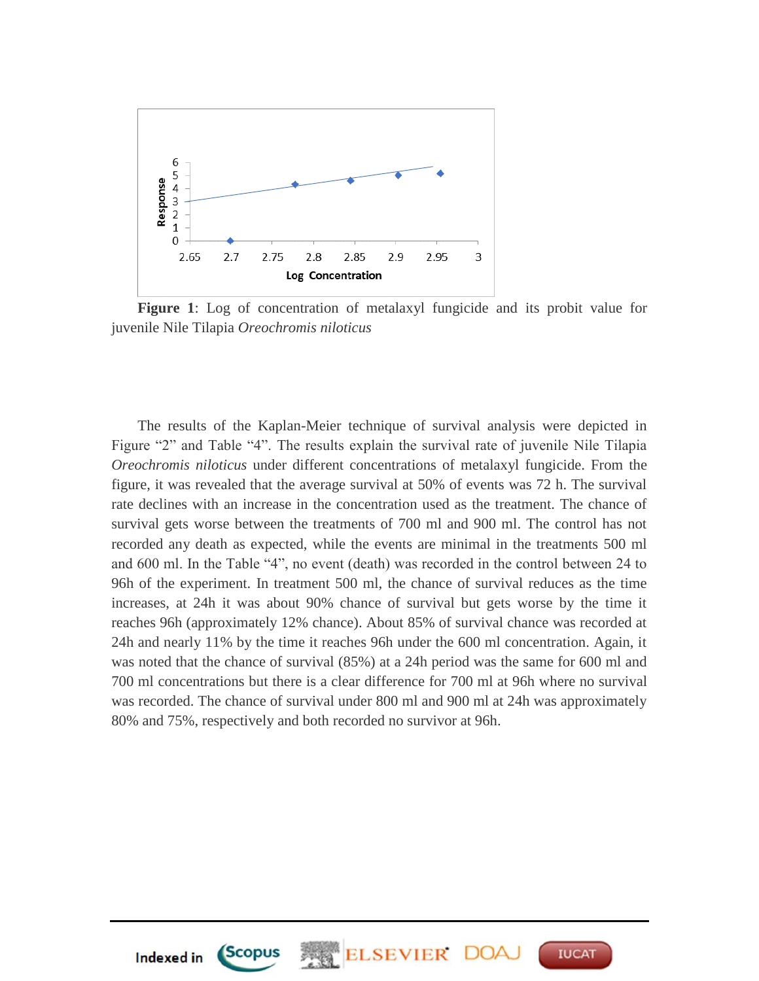

**Figure 1**: Log of concentration of metalaxyl fungicide and its probit value for juvenile Nile Tilapia *Oreochromis niloticus*

The results of the Kaplan-Meier technique of survival analysis were depicted in Figure "2" and Table "4". The results explain the survival rate of juvenile Nile Tilapia *Oreochromis niloticus* under different concentrations of metalaxyl fungicide. From the figure, it was revealed that the average survival at 50% of events was 72 h. The survival rate declines with an increase in the concentration used as the treatment. The chance of survival gets worse between the treatments of 700 ml and 900 ml. The control has not recorded any death as expected, while the events are minimal in the treatments 500 ml and 600 ml. In the Table "4", no event (death) was recorded in the control between 24 to 96h of the experiment. In treatment 500 ml, the chance of survival reduces as the time increases, at 24h it was about 90% chance of survival but gets worse by the time it reaches 96h (approximately 12% chance). About 85% of survival chance was recorded at 24h and nearly 11% by the time it reaches 96h under the 600 ml concentration. Again, it was noted that the chance of survival (85%) at a 24h period was the same for 600 ml and 700 ml concentrations but there is a clear difference for 700 ml at 96h where no survival was recorded. The chance of survival under 800 ml and 900 ml at 24h was approximately 80% and 75%, respectively and both recorded no survivor at 96h.

**ELSEVIER** 

**IUCAT** 



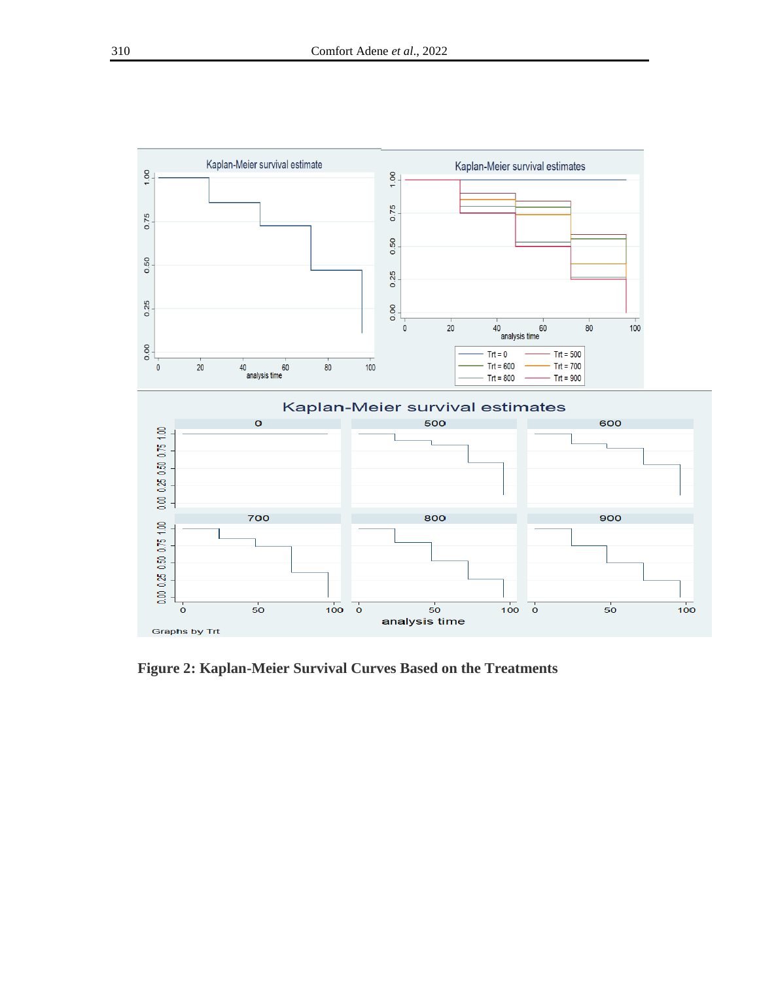

**Figure 2: Kaplan-Meier Survival Curves Based on the Treatments**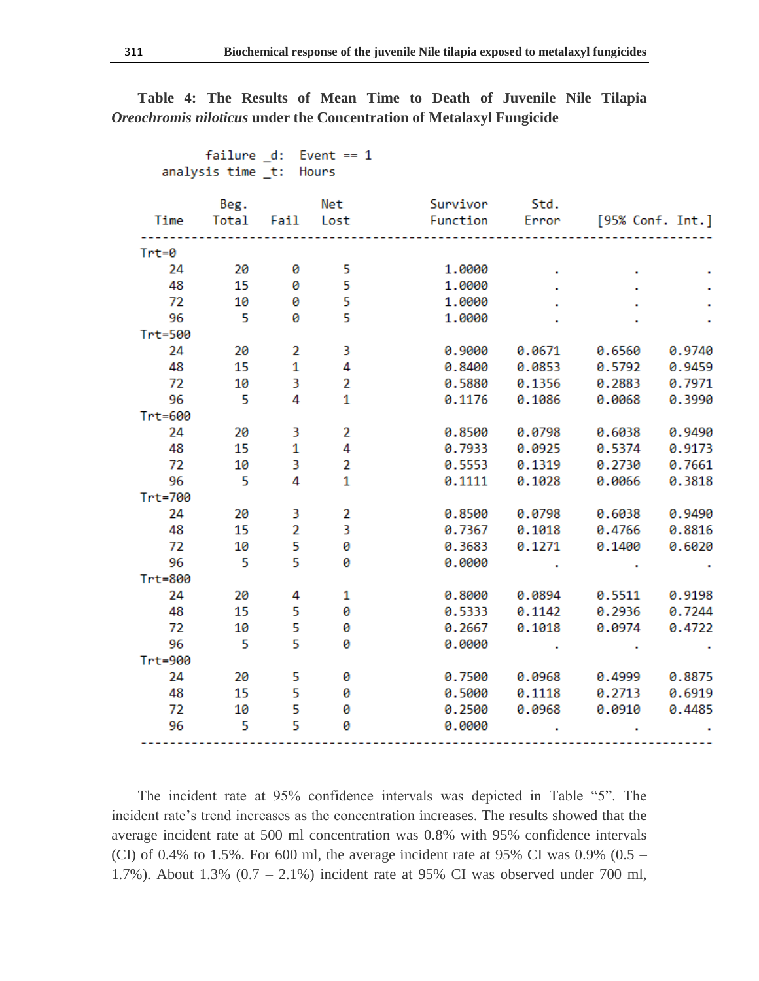|         | analysis time _t: Hours |                |                |          |        |                  |        |
|---------|-------------------------|----------------|----------------|----------|--------|------------------|--------|
|         | Beg.                    |                | Net            | Survivor | Std.   |                  |        |
| Time    | Total Fail Lost         |                |                | Function | Error  | [95% Conf. Int.] |        |
| $Trt=0$ |                         |                |                |          |        |                  |        |
| 24      | 20                      | 0              | 5              | 1,0000   |        |                  |        |
| 48      | 15                      | 0              | 5              | 1.0000   |        |                  |        |
| 72      | 10                      | 0              | 5              | 1.0000   |        |                  |        |
| 96      | $-5$                    | 0              | 5              | 1.0000   |        |                  |        |
| Trt=500 |                         |                |                |          |        |                  |        |
| 24      | 20                      | 2              | 3              | 0.9000   | 0.0671 | 0.6560           | 0.9740 |
| 48      | 15                      | $\mathbf{1}$   | 4              | 0.8400   | 0.0853 | 0.5792           | 0.9459 |
| 72      | 10                      | 3              | $\overline{2}$ | 0.5880   | 0.1356 | 0.2883           | 0.7971 |
| 96      | 5                       | 4              | $\mathbf{1}$   | 0.1176   | 0.1086 | 0.0068           | 0.3990 |
| Trt=600 |                         |                |                |          |        |                  |        |
| 24      | 20                      | 3              | $\overline{2}$ | 0.8500   | 0.0798 | 0.6038           | 0.9490 |
| 48      | 15                      | $\mathbf{1}$   | 4              | 0.7933   | 0.0925 | 0.5374           | 0.9173 |
| 72      | 10                      | 3              | $\overline{2}$ | 0.5553   | 0.1319 | 0.2730           | 0.7661 |
| 96      | 5                       | 4              | 1              | 0.1111   | 0.1028 | 0.0066           | 0.3818 |
| Trt=700 |                         |                |                |          |        |                  |        |
| 24      | 20                      | 3              | $\overline{2}$ | 0.8500   | 0.0798 | 0.6038           | 0.9490 |
| 48      | 15                      | $\overline{2}$ | 3              | 0.7367   | 0.1018 | 0.4766           | 0.8816 |
| 72      | 10                      | 5              | 0              | 0.3683   | 0.1271 | 0.1400           | 0.6020 |
| 96      | 5                       | 5              | 0              | 0.0000   |        |                  |        |
| Trt=800 |                         |                |                |          |        |                  |        |
| 24      | 20                      | 4              | 1              | 0.8000   | 0.0894 | 0.5511           | 0.9198 |
| 48      | 15                      | 5              | 0              | 0.5333   | 0.1142 | 0.2936           | 0.7244 |
| 72      | 10                      | 5              | 0              | 0.2667   | 0.1018 | 0.0974           | 0.4722 |
| 96      | 5                       | 5              | 0              | 0.0000   |        |                  |        |
| Trt=900 |                         |                |                |          |        |                  |        |
| 24      | 20                      | 5              | 0              | 0.7500   | 0.0968 | 0.4999           | 0.8875 |
| 48      | -15                     | 5              | 0              | 0.5000   | 0.1118 | 0.2713           | 0.6919 |
| 72      | 10                      | 5              | 0              | 0.2500   | 0.0968 | 0.0910           | 0.4485 |
| 96      | 5                       | 5              | Ø              | 0.0000   |        |                  |        |
|         |                         |                |                |          |        |                  |        |

**Table 4: The Results of Mean Time to Death of Juvenile Nile Tilapia**  *Oreochromis niloticus* **under the Concentration of Metalaxyl Fungicide**

failure d: Event == 1

The incident rate at 95% confidence intervals was depicted in Table "5". The incident rate's trend increases as the concentration increases. The results showed that the average incident rate at 500 ml concentration was 0.8% with 95% confidence intervals (CI) of 0.4% to 1.5%. For 600 ml, the average incident rate at 95% CI was 0.9% (0.5 – 1.7%). About 1.3% (0.7 – 2.1%) incident rate at 95% CI was observed under 700 ml,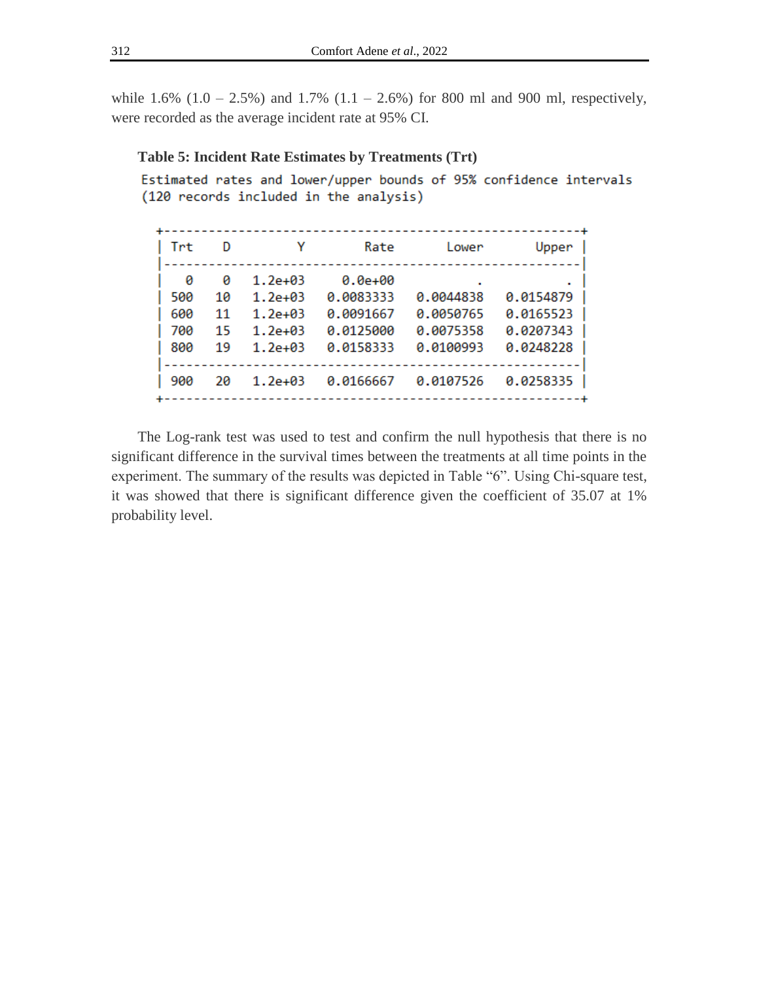while  $1.6\%$  ( $1.0 - 2.5\%$ ) and  $1.7\%$  ( $1.1 - 2.6\%$ ) for 800 ml and 900 ml, respectively, were recorded as the average incident rate at 95% CI.

### **Table 5: Incident Rate Estimates by Treatments (Trt)**

Estimated rates and lower/upper bounds of 95% confidence intervals (120 records included in the analysis)

| Trt | D  | γ           | Rate        | Lower     | Upper     |
|-----|----|-------------|-------------|-----------|-----------|
| ø   | ø  | $1.2e+03$   | $0.0e + 00$ |           |           |
| 500 | 10 | $1.2e + 03$ | 0.0083333   | 0.0044838 | 0.0154879 |
| 600 | 11 | $1.2e + 03$ | 0.0091667   | 0.0050765 | 0.0165523 |
| 700 | 15 | $1.2e + 03$ | 0.0125000   | 0.0075358 | 0.0207343 |
| 800 | 19 | $1.2e + 03$ | 0.0158333   | 0.0100993 | 0.0248228 |
|     |    |             |             |           |           |
| 900 | 20 | $1.2e + 03$ | 0.0166667   | 0.0107526 | 0.0258335 |
|     |    |             |             |           |           |

The Log-rank test was used to test and confirm the null hypothesis that there is no significant difference in the survival times between the treatments at all time points in the experiment. The summary of the results was depicted in Table "6". Using Chi-square test, it was showed that there is significant difference given the coefficient of 35.07 at 1% probability level.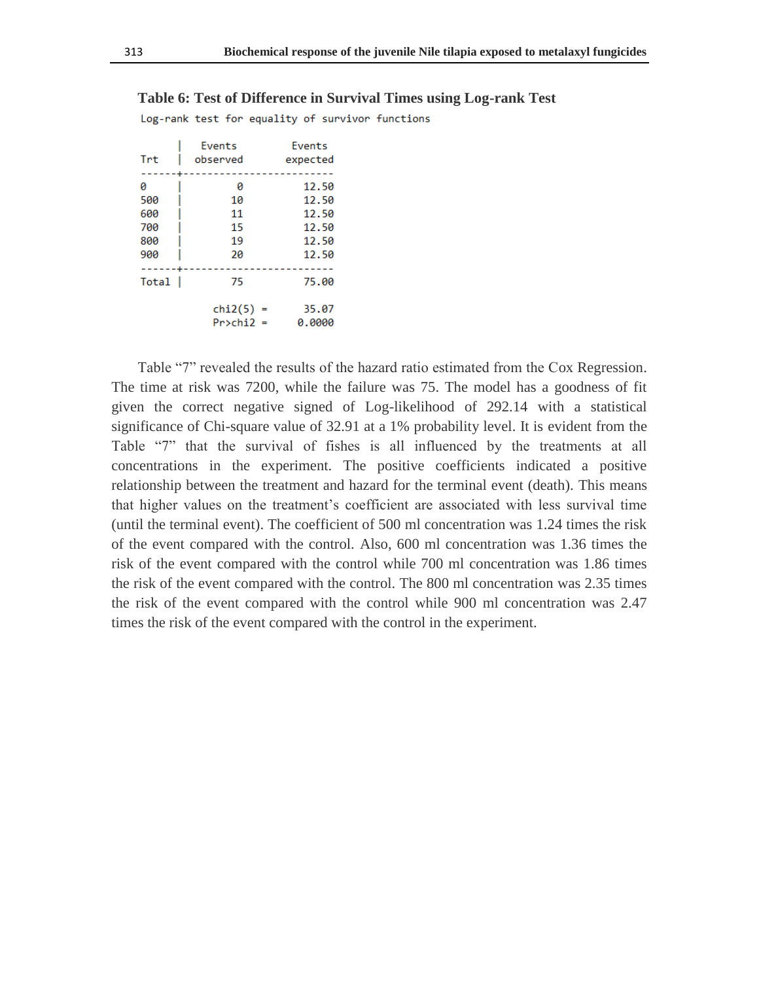|       | <b>Events</b>     | <b>Events</b> |  |  |
|-------|-------------------|---------------|--|--|
| Trt   | observed          | expected      |  |  |
|       |                   |               |  |  |
| 0     | 0                 | 12.50         |  |  |
| 500   | 10                | 12.50         |  |  |
| 600   | 11                | 12.50         |  |  |
| 700   | 15                | 12.50         |  |  |
| 800   | 19                | 12.50         |  |  |
| 900   | 2Ø                | 12.50         |  |  |
|       |                   |               |  |  |
| Total | 75                | 75.00         |  |  |
|       |                   |               |  |  |
|       | chi2(5)           | 35.07         |  |  |
|       | $Pr>\chi$ hi $2=$ | 0.0000        |  |  |

**Table 6: Test of Difference in Survival Times using Log-rank Test**

Log-rank test for equality of survivor functions

Table "7" revealed the results of the hazard ratio estimated from the Cox Regression. The time at risk was 7200, while the failure was 75. The model has a goodness of fit given the correct negative signed of Log-likelihood of 292.14 with a statistical significance of Chi-square value of 32.91 at a 1% probability level. It is evident from the Table "7" that the survival of fishes is all influenced by the treatments at all concentrations in the experiment. The positive coefficients indicated a positive relationship between the treatment and hazard for the terminal event (death). This means that higher values on the treatment's coefficient are associated with less survival time (until the terminal event). The coefficient of 500 ml concentration was 1.24 times the risk of the event compared with the control. Also, 600 ml concentration was 1.36 times the risk of the event compared with the control while 700 ml concentration was 1.86 times the risk of the event compared with the control. The 800 ml concentration was 2.35 times the risk of the event compared with the control while 900 ml concentration was 2.47 times the risk of the event compared with the control in the experiment.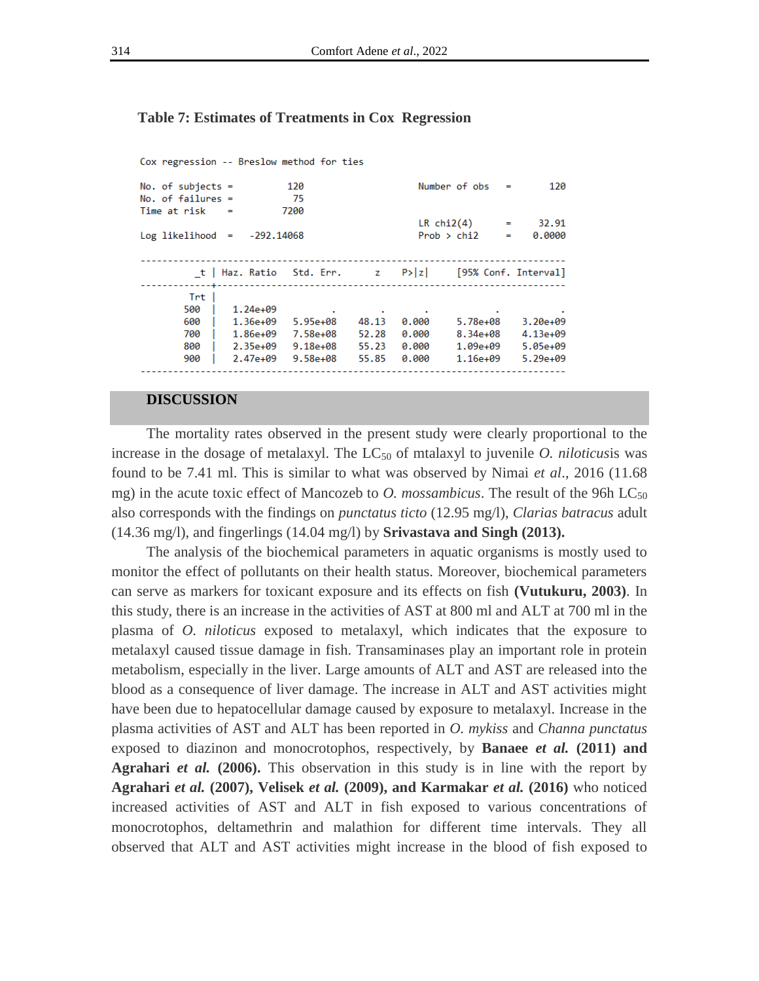#### **Table 7: Estimates of Treatments in Cox Regression**

Cox regression -- Breslow method for ties

| No. of subjects $=$ |                | 120          |       |        | Number of obs   | $\equiv$ | 120                  |
|---------------------|----------------|--------------|-------|--------|-----------------|----------|----------------------|
| No. of failures $=$ |                | 75           |       |        |                 |          |                      |
| Time at risk        | $\blacksquare$ | 7200         |       |        |                 |          |                      |
|                     |                |              |       |        | $LR$ chi2 $(4)$ | $=$      | 32.91                |
| $Log$ likelihood =  |                | Prob > chi2  |       |        | 0.0000          |          |                      |
|                     |                |              |       |        |                 |          |                      |
|                     |                |              |       | P >  z |                 |          | [95% Conf. Interval] |
| Trt                 |                |              |       |        |                 |          |                      |
| 500                 | $1.24e+09$     |              |       |        |                 |          |                      |
| 600                 | $1.36e+09$     | $5.95e+08$   | 48.13 | 0.000  | $5.78e+08$      |          | $3.20e + 09$         |
| 700                 | $1.86e+09$     | 7.58e+08     | 52.28 | 0.000  | $8.34e+08$      |          | $4.13e+09$           |
| 800                 | $2.35e+09$     | $9.18e + 08$ | 55.23 | 0.000  | $1.09e + 09$    |          | $5.05e+09$           |
| 900                 | $2.47e+09$     | $9.58e+08$   | 55.85 | 0.000  | $1.16e+09$      |          | $5.29e+09$           |
|                     |                |              |       |        |                 |          |                      |

#### **DISCUSSION**

The mortality rates observed in the present study were clearly proportional to the increase in the dosage of metalaxyl. The  $LC_{50}$  of mtalaxyl to juvenile *O. niloticus* is was found to be 7.41 ml. This is similar to what was observed by Nimai *et al*., 2016 (11.68 mg) in the acute toxic effect of Mancozeb to *O. mossambicus*. The result of the 96h  $LC_{50}$ also corresponds with the findings on *punctatus ticto* (12.95 mg/l), *Clarias batracus* adult (14.36 mg/l), and fingerlings (14.04 mg/l) by **Srivastava and Singh (2013).**

The analysis of the biochemical parameters in aquatic organisms is mostly used to monitor the effect of pollutants on their health status. Moreover, biochemical parameters can serve as markers for toxicant exposure and its effects on fish **(Vutukuru, 2003)**. In this study, there is an increase in the activities of AST at 800 ml and ALT at 700 ml in the plasma of *O. niloticus* exposed to metalaxyl, which indicates that the exposure to metalaxyl caused tissue damage in fish. Transaminases play an important role in protein metabolism, especially in the liver. Large amounts of ALT and AST are released into the blood as a consequence of liver damage. The increase in ALT and AST activities might have been due to hepatocellular damage caused by exposure to metalaxyl. Increase in the plasma activities of AST and ALT has been reported in *O. mykiss* and *Channa punctatus* exposed to diazinon and monocrotophos, respectively, by **Banaee** *et al.* **(2011) and Agrahari** *et al.* **(2006).** This observation in this study is in line with the report by **Agrahari** *et al.* **(2007), Velisek** *et al.* **(2009), and Karmakar** *et al.* **(2016)** who noticed increased activities of AST and ALT in fish exposed to various concentrations of monocrotophos, deltamethrin and malathion for different time intervals. They all observed that ALT and AST activities might increase in the blood of fish exposed to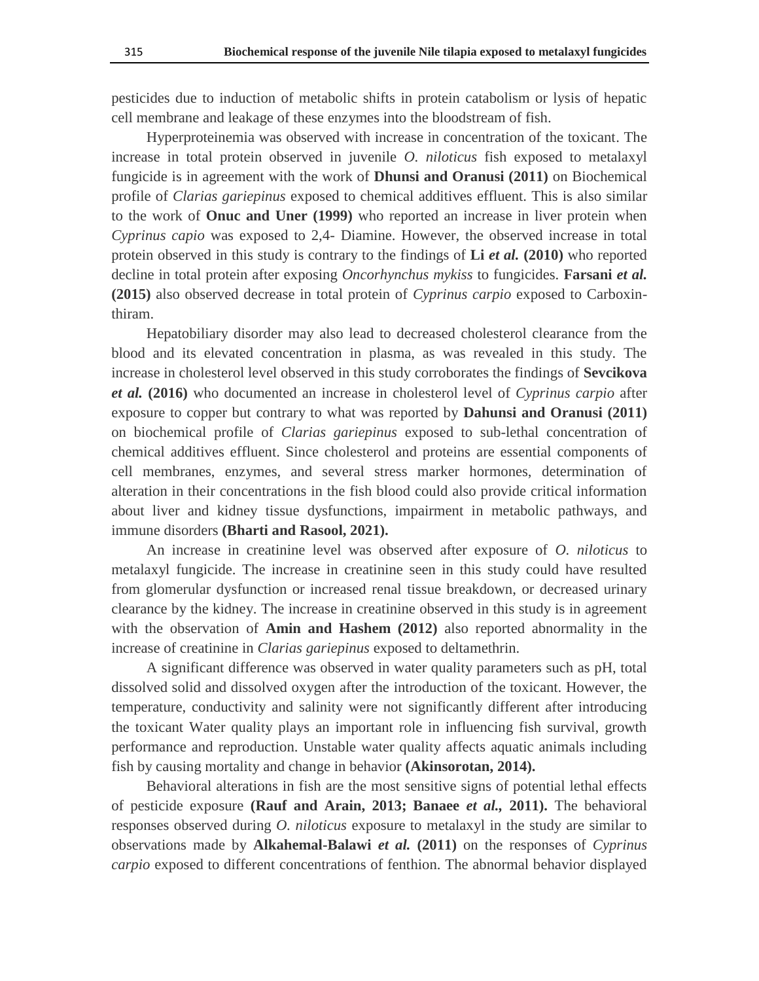pesticides due to induction of metabolic shifts in protein catabolism or lysis of hepatic cell membrane and leakage of these enzymes into the bloodstream of fish.

Hyperproteinemia was observed with increase in concentration of the toxicant. The increase in total protein observed in juvenile *O. niloticus* fish exposed to metalaxyl fungicide is in agreement with the work of **Dhunsi and Oranusi (2011)** on Biochemical profile of *Clarias gariepinus* exposed to chemical additives effluent. This is also similar to the work of **Onuc and Uner (1999)** who reported an increase in liver protein when *Cyprinus capio* was exposed to 2,4- Diamine. However, the observed increase in total protein observed in this study is contrary to the findings of **Li** *et al.* **(2010)** who reported decline in total protein after exposing *Oncorhynchus mykiss* to fungicides. **Farsani** *et al.*  **(2015)** also observed decrease in total protein of *Cyprinus carpio* exposed to Carboxinthiram.

Hepatobiliary disorder may also lead to decreased cholesterol clearance from the blood and its elevated concentration in plasma, as was revealed in this study. The increase in cholesterol level observed in this study corroborates the findings of **Sevcikova**  *et al.* **(2016)** who documented an increase in cholesterol level of *Cyprinus carpio* after exposure to copper but contrary to what was reported by **Dahunsi and Oranusi (2011)** on biochemical profile of *Clarias gariepinus* exposed to sub-lethal concentration of chemical additives effluent. Since cholesterol and proteins are essential components of cell membranes, enzymes, and several stress marker hormones, determination of alteration in their concentrations in the fish blood could also provide critical information about liver and kidney tissue dysfunctions, impairment in metabolic pathways, and immune disorders **(Bharti and Rasool, 2021).**

An increase in creatinine level was observed after exposure of *O. niloticus* to metalaxyl fungicide. The increase in creatinine seen in this study could have resulted from glomerular dysfunction or increased renal tissue breakdown, or decreased urinary clearance by the kidney. The increase in creatinine observed in this study is in agreement with the observation of **Amin and Hashem (2012)** also reported abnormality in the increase of creatinine in *Clarias gariepinus* exposed to deltamethrin.

A significant difference was observed in water quality parameters such as pH, total dissolved solid and dissolved oxygen after the introduction of the toxicant. However, the temperature, conductivity and salinity were not significantly different after introducing the toxicant Water quality plays an important role in influencing fish survival, growth performance and reproduction. Unstable water quality affects aquatic animals including fish by causing mortality and change in behavior **(Akinsorotan, 2014).**

Behavioral alterations in fish are the most sensitive signs of potential lethal effects of pesticide exposure **(Rauf and Arain, 2013; Banaee** *et al.,* **2011).** The behavioral responses observed during *O. niloticus* exposure to metalaxyl in the study are similar to observations made by **Alkahemal-Balawi** *et al.* **(2011)** on the responses of *Cyprinus carpio* exposed to different concentrations of fenthion. The abnormal behavior displayed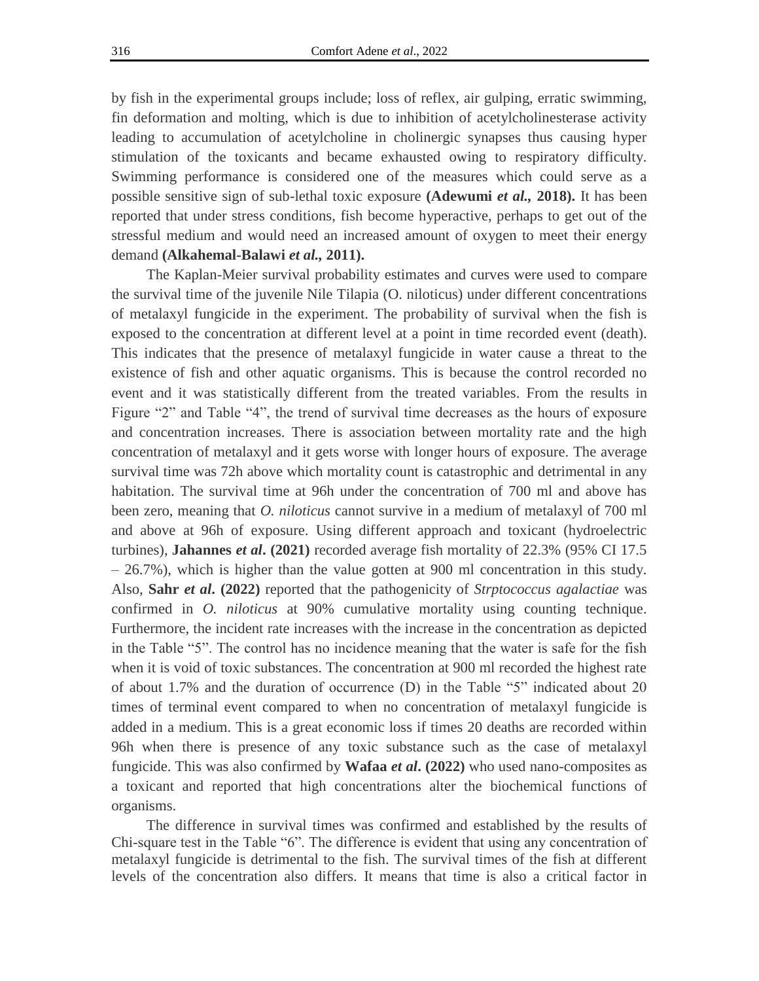by fish in the experimental groups include; loss of reflex, air gulping, erratic swimming, fin deformation and molting, which is due to inhibition of acetylcholinesterase activity leading to accumulation of acetylcholine in cholinergic synapses thus causing hyper stimulation of the toxicants and became exhausted owing to respiratory difficulty. Swimming performance is considered one of the measures which could serve as a possible sensitive sign of sub-lethal toxic exposure **(Adewumi** *et al.,* **2018).** It has been reported that under stress conditions, fish become hyperactive, perhaps to get out of the stressful medium and would need an increased amount of oxygen to meet their energy demand **(Alkahemal-Balawi** *et al.,* **2011).**

The Kaplan-Meier survival probability estimates and curves were used to compare the survival time of the juvenile Nile Tilapia (O. niloticus) under different concentrations of metalaxyl fungicide in the experiment. The probability of survival when the fish is exposed to the concentration at different level at a point in time recorded event (death). This indicates that the presence of metalaxyl fungicide in water cause a threat to the existence of fish and other aquatic organisms. This is because the control recorded no event and it was statistically different from the treated variables. From the results in Figure "2" and Table "4", the trend of survival time decreases as the hours of exposure and concentration increases. There is association between mortality rate and the high concentration of metalaxyl and it gets worse with longer hours of exposure. The average survival time was 72h above which mortality count is catastrophic and detrimental in any habitation. The survival time at 96h under the concentration of 700 ml and above has been zero, meaning that *O. niloticus* cannot survive in a medium of metalaxyl of 700 ml and above at 96h of exposure. Using different approach and toxicant (hydroelectric turbines), **Jahannes** *et al***. (2021)** recorded average fish mortality of 22.3% (95% CI 17.5 – 26.7%), which is higher than the value gotten at 900 ml concentration in this study. Also, **Sahr** *et al***. (2022)** reported that the pathogenicity of *Strptococcus agalactiae* was confirmed in *O. niloticus* at 90% cumulative mortality using counting technique. Furthermore, the incident rate increases with the increase in the concentration as depicted in the Table "5". The control has no incidence meaning that the water is safe for the fish when it is void of toxic substances. The concentration at 900 ml recorded the highest rate of about 1.7% and the duration of occurrence (D) in the Table "5" indicated about 20 times of terminal event compared to when no concentration of metalaxyl fungicide is added in a medium. This is a great economic loss if times 20 deaths are recorded within 96h when there is presence of any toxic substance such as the case of metalaxyl fungicide. This was also confirmed by **Wafaa** *et al***. (2022)** who used nano-composites as a toxicant and reported that high concentrations alter the biochemical functions of organisms.

The difference in survival times was confirmed and established by the results of Chi-square test in the Table "6". The difference is evident that using any concentration of metalaxyl fungicide is detrimental to the fish. The survival times of the fish at different levels of the concentration also differs. It means that time is also a critical factor in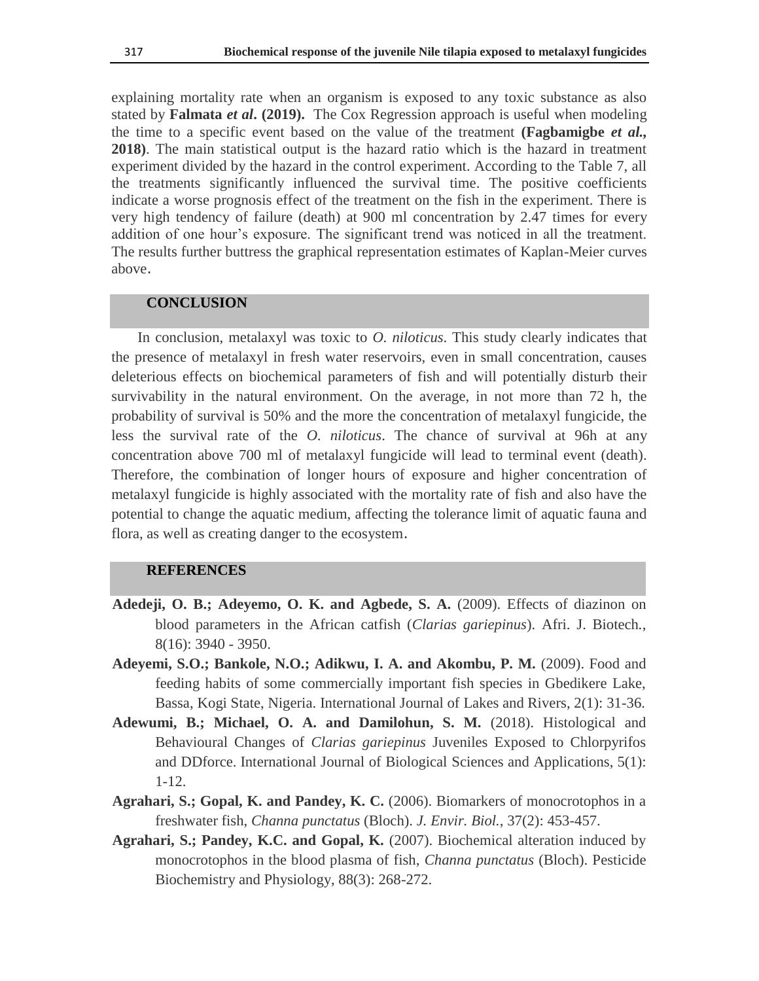explaining mortality rate when an organism is exposed to any toxic substance as also stated by **Falmata** *et al***. (2019).** The Cox Regression approach is useful when modeling the time to a specific event based on the value of the treatment **(Fagbamigbe** *et al.,* **2018)**. The main statistical output is the hazard ratio which is the hazard in treatment experiment divided by the hazard in the control experiment. According to the Table 7, all the treatments significantly influenced the survival time. The positive coefficients indicate a worse prognosis effect of the treatment on the fish in the experiment. There is very high tendency of failure (death) at 900 ml concentration by 2.47 times for every addition of one hour's exposure. The significant trend was noticed in all the treatment. The results further buttress the graphical representation estimates of Kaplan-Meier curves above.

## **CONCLUSION**

In conclusion, metalaxyl was toxic to *O. niloticus*. This study clearly indicates that the presence of metalaxyl in fresh water reservoirs, even in small concentration, causes deleterious effects on biochemical parameters of fish and will potentially disturb their survivability in the natural environment. On the average, in not more than 72 h, the probability of survival is 50% and the more the concentration of metalaxyl fungicide, the less the survival rate of the *O. niloticus*. The chance of survival at 96h at any concentration above 700 ml of metalaxyl fungicide will lead to terminal event (death). Therefore, the combination of longer hours of exposure and higher concentration of metalaxyl fungicide is highly associated with the mortality rate of fish and also have the potential to change the aquatic medium, affecting the tolerance limit of aquatic fauna and flora, as well as creating danger to the ecosystem.

#### **REFERENCES**

- **Adedeji, O. B.; Adeyemo, O. K. and Agbede, S. A.** (2009). Effects of diazinon on blood parameters in the African catfish (*Clarias gariepinus*). Afri. J. Biotech*.*, 8(16): 3940 - 3950.
- **Adeyemi, S.O.; Bankole, N.O.; Adikwu, I. A. and Akombu, P. M.** (2009). Food and feeding habits of some commercially important fish species in Gbedikere Lake, Bassa, Kogi State, Nigeria. International Journal of Lakes and Rivers, 2(1): 31-36.
- **Adewumi, B.; Michael, O. A. and Damilohun, S. M.** (2018). Histological and Behavioural Changes of *Clarias gariepinus* Juveniles Exposed to Chlorpyrifos and DDforce. International Journal of Biological Sciences and Applications, 5(1): 1-12.
- **Agrahari, S.; Gopal, K. and Pandey, K. C.** (2006). Biomarkers of monocrotophos in a freshwater fish, *Channa punctatus* (Bloch). *J. Envir. Biol.*, 37(2): 453-457.
- **Agrahari, S.; Pandey, K.C. and Gopal, K.** (2007). Biochemical alteration induced by monocrotophos in the blood plasma of fish, *Channa punctatus* (Bloch). Pesticide Biochemistry and Physiology, 88(3): 268-272.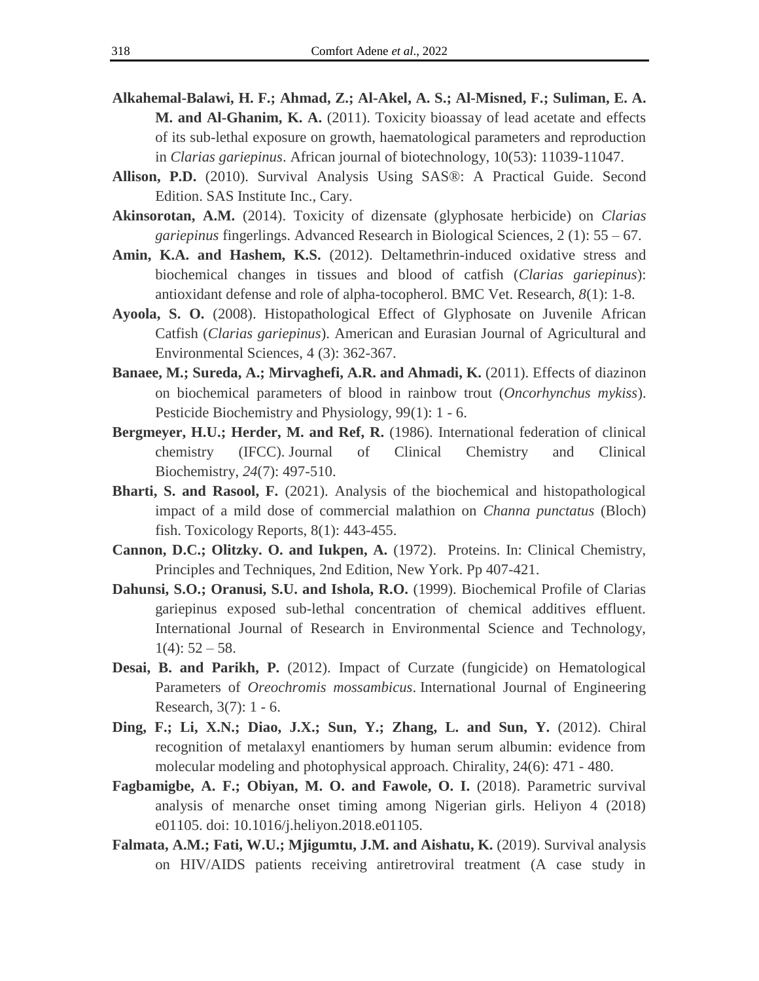- **Alkahemal-Balawi, H. F.; Ahmad, Z.; Al-Akel, A. S.; Al-Misned, F.; Suliman, E. A. M. and Al-Ghanim, K. A.** (2011). Toxicity bioassay of lead acetate and effects of its sub-lethal exposure on growth, haematological parameters and reproduction in *Clarias gariepinus*. African journal of biotechnology, 10(53): 11039-11047.
- **Allison, P.D.** (2010). Survival Analysis Using SAS®: A Practical Guide. Second Edition. SAS Institute Inc., Cary.
- **Akinsorotan, A.M.** (2014). Toxicity of dizensate (glyphosate herbicide) on *Clarias gariepinus* fingerlings. Advanced Research in Biological Sciences*,* 2 (1): 55 – 67.
- **Amin, K.A. and Hashem, K.S.** (2012). Deltamethrin-induced oxidative stress and biochemical changes in tissues and blood of catfish (*Clarias gariepinus*): antioxidant defense and role of alpha-tocopherol. BMC Vet. Research, *8*(1): 1-8.
- **Ayoola, S. O.** (2008). Histopathological Effect of Glyphosate on Juvenile African Catfish (*Clarias gariepinus*). American and Eurasian Journal of Agricultural and Environmental Sciences, 4 (3): 362-367.
- **Banaee, M.; Sureda, A.; Mirvaghefi, A.R. and Ahmadi, K.** (2011). Effects of diazinon on biochemical parameters of blood in rainbow trout (*Oncorhynchus mykiss*). Pesticide Biochemistry and Physiology, 99(1): 1 - 6.
- **Bergmeyer, H.U.; Herder, M. and Ref, R.** (1986). International federation of clinical chemistry (IFCC). Journal of Clinical Chemistry and Clinical Biochemistry, *24*(7): 497-510.
- **Bharti, S. and Rasool, F.** (2021). Analysis of the biochemical and histopathological impact of a mild dose of commercial malathion on *Channa punctatus* (Bloch) fish. Toxicology Reports, 8(1): 443-455.
- **Cannon, D.C.; Olitzky. O. and Iukpen, A.** (1972). Proteins. In: Clinical Chemistry, Principles and Techniques, 2nd Edition, New York. Pp 407-421.
- **Dahunsi, S.O.; Oranusi, S.U. and Ishola, R.O.** (1999). Biochemical Profile of Clarias gariepinus exposed sub-lethal concentration of chemical additives effluent. International Journal of Research in Environmental Science and Technology,  $1(4): 52 - 58.$
- **Desai, B. and Parikh, P.** (2012). Impact of Curzate (fungicide) on Hematological Parameters of *Oreochromis mossambicus*. International Journal of Engineering Research, 3(7): 1 - 6.
- **Ding, F.; Li, X.N.; Diao, J.X.; Sun, Y.; Zhang, L. and Sun, Y.** (2012). Chiral recognition of metalaxyl enantiomers by human serum albumin: evidence from molecular modeling and photophysical approach. Chirality, 24(6): 471 - 480.
- **Fagbamigbe, A. F.; Obiyan, M. O. and Fawole, O. I.** (2018). Parametric survival analysis of menarche onset timing among Nigerian girls. Heliyon 4 (2018) e01105. doi: 10.1016/j.heliyon.2018.e01105.
- **Falmata, A.M.; Fati, W.U.; Mjigumtu, J.M. and Aishatu, K.** (2019). Survival analysis on HIV/AIDS patients receiving antiretroviral treatment (A case study in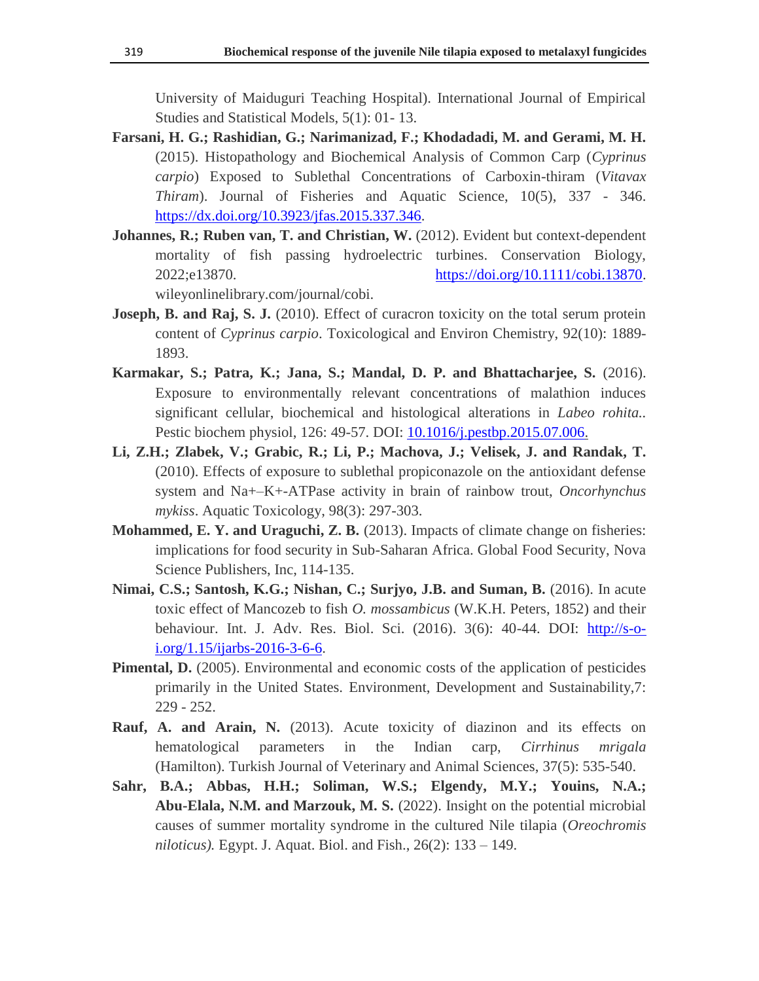University of Maiduguri Teaching Hospital). International Journal of Empirical Studies and Statistical Models, 5(1): 01- 13.

- **Farsani, H. G.; Rashidian, G.; Narimanizad, F.; Khodadadi, M. and Gerami, M. H.** (2015). Histopathology and Biochemical Analysis of Common Carp (*Cyprinus carpio*) Exposed to Sublethal Concentrations of Carboxin-thiram (*Vitavax Thiram*). Journal of Fisheries and Aquatic Science, 10(5), 337 - 346. [https://dx.doi.org/10.3923/jfas.2015.337.346.](https://dx.doi.org/10.3923/jfas.2015.337.346)
- **Johannes, R.; Ruben van, T. and Christian, W.** (2012). Evident but context-dependent mortality of fish passing hydroelectric turbines. Conservation Biology, 2022;e13870. [https://doi.org/10.1111/cobi.13870.](https://doi.org/10.1111/cobi.13870) wileyonlinelibrary.com/journal/cobi.
- **Joseph, B. and Raj, S. J.** (2010). Effect of curacron toxicity on the total serum protein content of *Cyprinus carpio*. Toxicological and Environ Chemistry, 92(10): 1889- 1893.
- **Karmakar, S.; Patra, K.; Jana, S.; Mandal, D. P. and Bhattacharjee, S.** (2016). Exposure to environmentally relevant concentrations of malathion induces significant cellular, biochemical and histological alterations in *Labeo rohita..*  Pestic biochem physiol, 126: 49-57. DOI: [10.1016/j.pestbp.2015.07.006.](https://doi.org/10.1016/j.pestbp.2015.07.006)
- **Li, Z.H.; Zlabek, V.; Grabic, R.; Li, P.; Machova, J.; Velisek, J. and Randak, T.** (2010). Effects of exposure to sublethal propiconazole on the antioxidant defense system and Na+–K+-ATPase activity in brain of rainbow trout, *Oncorhynchus mykiss*. Aquatic Toxicology, 98(3): 297-303.
- **Mohammed, E. Y. and Uraguchi, Z. B.** (2013). Impacts of climate change on fisheries: implications for food security in Sub-Saharan Africa. Global Food Security, Nova Science Publishers, Inc, 114-135.
- **Nimai, C.S.; Santosh, K.G.; Nishan, C.; Surjyo, J.B. and Suman, B.** (2016). In acute toxic effect of Mancozeb to fish *O. mossambicus* (W.K.H. Peters, 1852) and their behaviour. Int. J. Adv. Res. Biol. Sci. (2016). 3(6): 40-44. DOI: [http://s-o](http://s-o-i.org/1.15/ijarbs-2016-3-6-6)[i.org/1.15/ijarbs-2016-3-6-6.](http://s-o-i.org/1.15/ijarbs-2016-3-6-6)
- **Pimental, D.** (2005). Environmental and economic costs of the application of pesticides primarily in the United States. Environment, Development and Sustainability,7: 229 - 252.
- **Rauf, A. and Arain, N.** (2013). Acute toxicity of diazinon and its effects on hematological parameters in the Indian carp, *Cirrhinus mrigala* (Hamilton). Turkish Journal of Veterinary and Animal Sciences, 37(5): 535-540.
- **Sahr, B.A.; Abbas, H.H.; Soliman, W.S.; Elgendy, M.Y.; Youins, N.A.; Abu-Elala, N.M. and Marzouk, M. S.** (2022). Insight on the potential microbial causes of summer mortality syndrome in the cultured Nile tilapia (*Oreochromis niloticus).* Egypt. J. Aquat. Biol. and Fish., 26(2): 133 – 149.